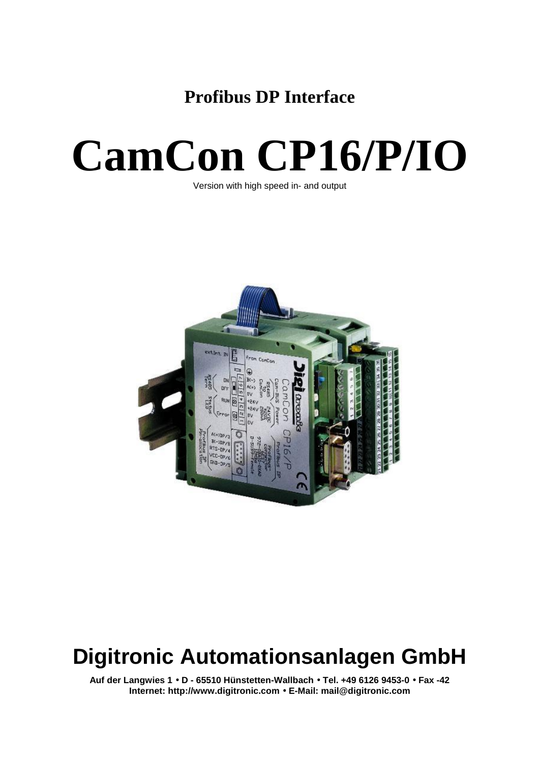# **Profibus DP Interface**

# **CamCon CP16/P/IO**

Version with high speed in- and output



# **Digitronic Automationsanlagen GmbH**

**Auf der Langwies 1 · D - 65510 Hünstetten-Wallbach · Tel. +49 6126 9453-0 · Fax -42 Internet: http://www.digitronic.com · E-Mail: mail@digitronic.com**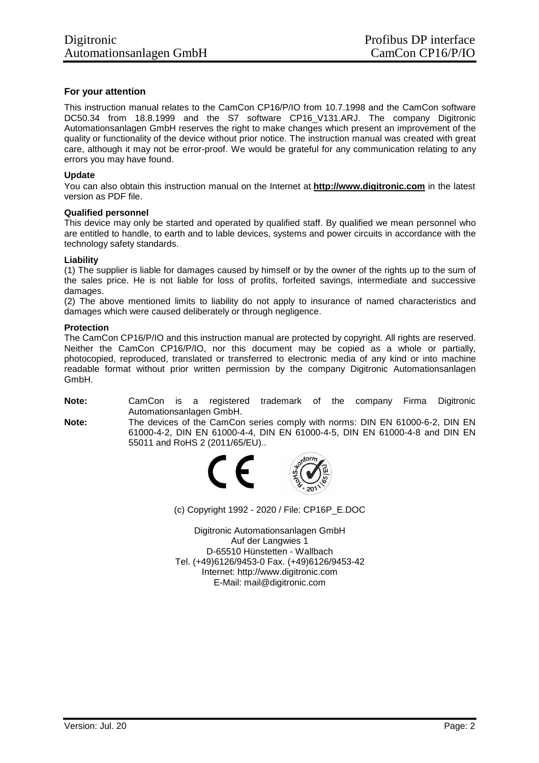#### **For your attention**

This instruction manual relates to the CamCon CP16/P/IO from 10.7.1998 and the CamCon software DC50.34 from 18.8.1999 and the S7 software CP16\_V131.ARJ. The company Digitronic Automationsanlagen GmbH reserves the right to make changes which present an improvement of the quality or functionality of the device without prior notice. The instruction manual was created with great care, although it may not be error-proof. We would be grateful for any communication relating to any errors you may have found.

#### **Update**

You can also obtain this instruction manual on the Internet at **http://www.digitronic.com** in the latest version as PDF file.

#### **Qualified personnel**

This device may only be started and operated by qualified staff. By qualified we mean personnel who are entitled to handle, to earth and to lable devices, systems and power circuits in accordance with the technology safety standards.

#### **Liability**

(1) The supplier is liable for damages caused by himself or by the owner of the rights up to the sum of the sales price. He is not liable for loss of profits, forfeited savings, intermediate and successive damages.

(2) The above mentioned limits to liability do not apply to insurance of named characteristics and damages which were caused deliberately or through negligence.

#### **Protection**

The CamCon CP16/P/IO and this instruction manual are protected by copyright. All rights are reserved. Neither the CamCon CP16/P/IO, nor this document may be copied as a whole or partially, photocopied, reproduced, translated or transferred to electronic media of any kind or into machine readable format without prior written permission by the company Digitronic Automationsanlagen GmbH.

- **Note:** CamCon is a registered trademark of the company Firma Digitronic Automationsanlagen GmbH.
- **Note:** The devices of the CamCon series comply with norms: DIN EN 61000-6-2, DIN EN 61000-4-2, DIN EN 61000-4-4, DIN EN 61000-4-5, DIN EN 61000-4-8 and DIN EN 55011 and RoHS 2 (2011/65/EU)..



(c) Copyright 1992 - 2020 / File: CP16P\_E.DOC

Digitronic Automationsanlagen GmbH Auf der Langwies 1 D-65510 Hünstetten - Wallbach Tel. (+49)6126/9453-0 Fax. (+49)6126/9453-42 Internet: http://www.digitronic.com E-Mail: mail@digitronic.com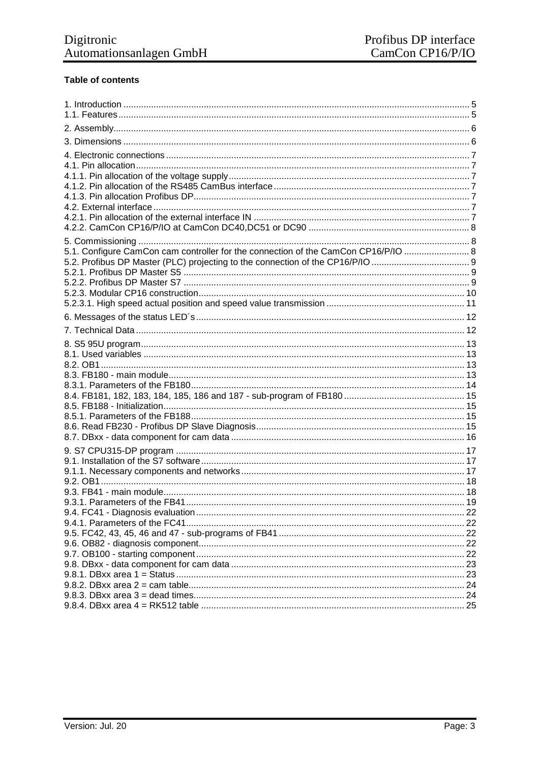# Table of contents

| 5.1. Configure CamCon cam controller for the connection of the CamCon CP16/P/IO  8 |  |
|------------------------------------------------------------------------------------|--|
|                                                                                    |  |
|                                                                                    |  |
|                                                                                    |  |
|                                                                                    |  |
|                                                                                    |  |
|                                                                                    |  |
|                                                                                    |  |
|                                                                                    |  |
|                                                                                    |  |
|                                                                                    |  |
|                                                                                    |  |
|                                                                                    |  |
|                                                                                    |  |
|                                                                                    |  |
|                                                                                    |  |
|                                                                                    |  |
|                                                                                    |  |
|                                                                                    |  |
|                                                                                    |  |
|                                                                                    |  |
|                                                                                    |  |
| 9.3.1. Parameters of the FB41                                                      |  |
|                                                                                    |  |
|                                                                                    |  |
|                                                                                    |  |
|                                                                                    |  |
|                                                                                    |  |
|                                                                                    |  |
|                                                                                    |  |
|                                                                                    |  |
|                                                                                    |  |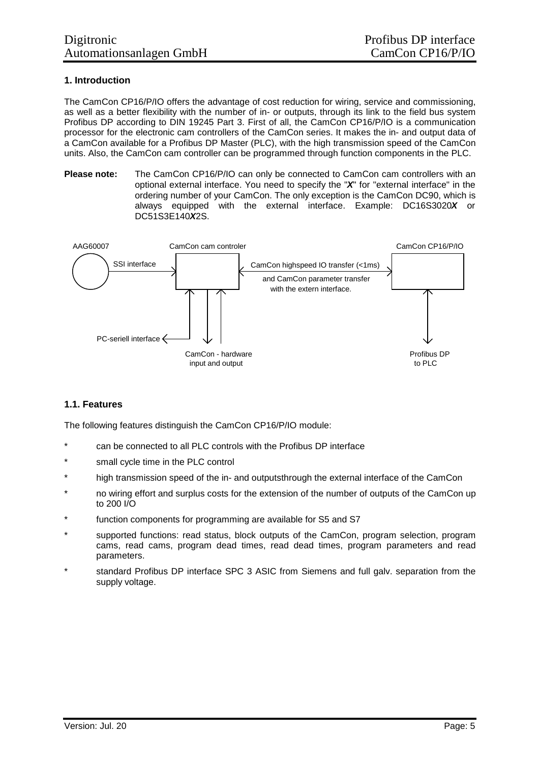# **1. Introduction**

The CamCon CP16/P/IO offers the advantage of cost reduction for wiring, service and commissioning, as well as a better flexibility with the number of in- or outputs, through its link to the field bus system Profibus DP according to DIN 19245 Part 3. First of all, the CamCon CP16/P/IO is a communication processor for the electronic cam controllers of the CamCon series. It makes the in- and output data of a CamCon available for a Profibus DP Master (PLC), with the high transmission speed of the CamCon units. Also, the CamCon cam controller can be programmed through function components in the PLC.

**Please note:** The CamCon CP16/P/IO can only be connected to CamCon cam controllers with an optional external interface. You need to specify the "*X*" for "external interface" in the ordering number of your CamCon. The only exception is the CamCon DC90, which is always equipped with the external interface. Example: DC16S3020*X* or DC51S3E140*X*2S.



# **1.1. Features**

The following features distinguish the CamCon CP16/P/IO module:

- can be connected to all PLC controls with the Profibus DP interface
- small cycle time in the PLC control
- high transmission speed of the in- and outputsthrough the external interface of the CamCon
- no wiring effort and surplus costs for the extension of the number of outputs of the CamCon up to 200 I/O
- function components for programming are available for S5 and S7
- supported functions: read status, block outputs of the CamCon, program selection, program cams, read cams, program dead times, read dead times, program parameters and read parameters.
- standard Profibus DP interface SPC 3 ASIC from Siemens and full galv. separation from the supply voltage.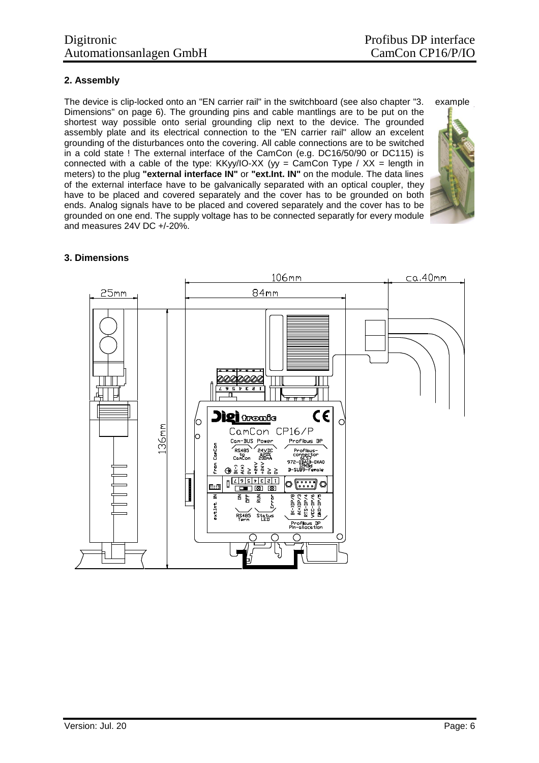# **2. Assembly**

The device is clip-locked onto an "EN carrier rail" in the switchboard (see also chapter "3. Dimensions" on page 6). The grounding pins and cable mantlings are to be put on the shortest way possible onto serial grounding clip next to the device. The grounded assembly plate and its electrical connection to the "EN carrier rail" allow an excelent grounding of the disturbances onto the covering. All cable connections are to be switched in a cold state ! The external interface of the CamCon (e.g. DC16/50/90 or DC115) is connected with a cable of the type: KKyy/IO-XX (yy = CamCon Type / XX = length in meters) to the plug **"external interface IN"** or **"ext.Int. IN"** on the module. The data lines of the external interface have to be galvanically separated with an optical coupler, they have to be placed and covered separately and the cover has to be grounded on both ends. Analog signals have to be placed and covered separately and the cover has to be grounded on one end. The supply voltage has to be connected separatly for every module and measures 24V DC +/-20%.



#### 106mm  $ca.40mm$ 84mm 25mm 0.OQ  $\overline{c}$  $\mathbf{Q}$ i Gromfici (о  $\overline{C}$ 36mm CamCon CP16/P h Profibus DP Cam-BUS Power  $R\overline{\phantom{a}}_{t_0}^{R\overline{\phantom{a}}}_{t_0}$  $24 \times 10^{-12}_{\pm 20\%}$ Profibus-<br>connector to<br>CamCon nxan-972  $\bigoplus \, \, \overset{\frown}{\textbf{A}} \, \, \overset{\frown}{\textbf{B}} \, \, \overset{\frown}{\textbf{C}} \, \, \overset{\frown}{\textbf{C}} \, \, \overset{\frown}{\textbf{C}} \, \, \overset{\frown}{\textbf{C}} \, \, \overset{\frown}{\textbf{C}} \, \, \overset{\frown}{\textbf{C}} \, \, \overset{\frown}{\textbf{C}} \, \, \, \overset{\frown}{\textbf{C}} \, \, \, \overset{\frown}{\textbf{C}} \, \, \, \overset{\frown}{\textbf{C}} \, \, \,$ male  $\frac{1}{2}$  $\Box$  0 0 좀 놉 意 ğ  $+1$ 요 있  $\overline{\text{stat}}$ RS485 Profibus DP<br>"in-allocation  $\circ$

# **3. Dimensions**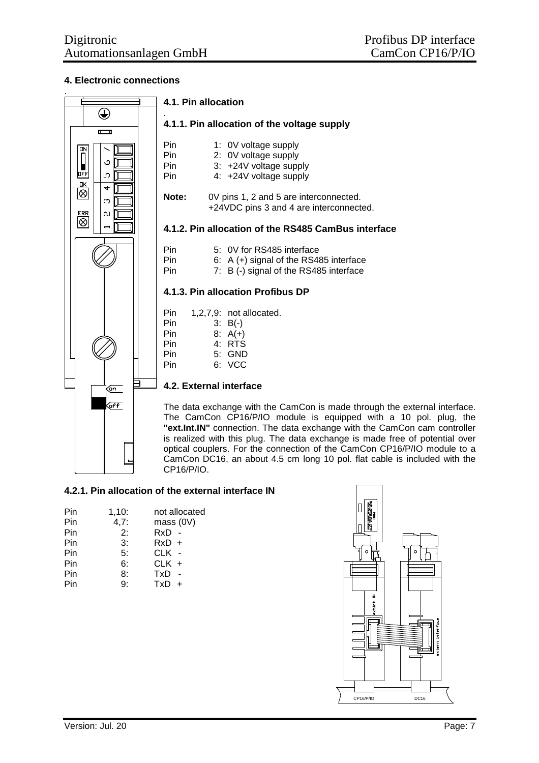# **4. Electronic connections**



# **4.2.1. Pin allocation of the external interface IN**

| Pin | 1,10: | not allocated |
|-----|-------|---------------|
| Pin | 4,7:  | mass (0V)     |
| Pin | 2:    | RxD -         |
| Pin | 3:    | $RxD +$       |
| Pin | 5:    | CLK -         |
| Pin | 6:    | CLK +         |
| Pin | 8:    | TxD           |
| Pin | 9:    | $TxD +$       |
|     |       |               |

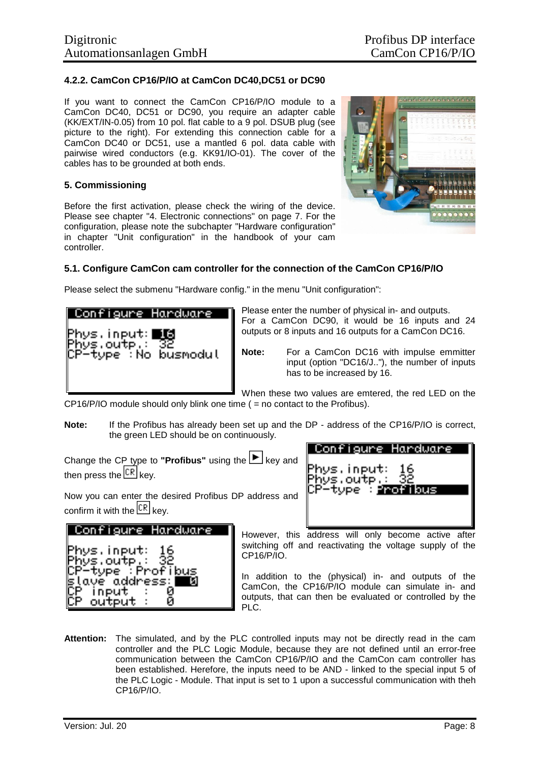# **4.2.2. CamCon CP16/P/IO at CamCon DC40,DC51 or DC90**

If you want to connect the CamCon CP16/P/IO module to a CamCon DC40, DC51 or DC90, you require an adapter cable (KK/EXT/IN-0.05) from 10 pol. flat cable to a 9 pol. DSUB plug (see picture to the right). For extending this connection cable for a CamCon DC40 or DC51, use a mantled 6 pol. data cable with pairwise wired conductors (e.g. KK91/IO-01). The cover of the cables has to be grounded at both ends.

# **5. Commissioning**

Before the first activation, please check the wiring of the device. Please see chapter "4. Electronic connections" on page 7. For the configuration, please note the subchapter "Hardware configuration" in chapter "Unit configuration" in the handbook of your cam controller.



# **5.1. Configure CamCon cam controller for the connection of the CamCon CP16/P/IO**

Please select the submenu "Hardware config." in the menu "Unit configuration":

| T<br>  Configure Hardware                                  |       | Please enter the number of physical in- and outputs.<br>For a CamCon DC90, it would be 16 inputs and 24<br>outputs or 8 inputs and 16 outputs for a CamCon DC16. |
|------------------------------------------------------------|-------|------------------------------------------------------------------------------------------------------------------------------------------------------------------|
| Phys.input:■■■<br> Phys.outp.: 32<br> CP-type :No busmodul | Note: | For a CamCon DC16 with impulse emmitter<br>input (option "DC16/J"), the number of inputs<br>has to be increased by 16.                                           |
| $\overline{O}$                                             |       | When these two values are emtered, the red LED on the                                                                                                            |

CP16/P/IO module should only blink one time  $($  = no contact to the Profibus).

**Note:** If the Profibus has already been set up and the DP - address of the CP16/P/IO is correct, the green LED should be on continuously.

Change the CP type to **"Profibus"** using the  $\blacktriangleright$  key and then press the  $\mathbb{E}[\mathbb{R}]$  key.



Now you can enter the desired Profibus DP address and confirm it with the  $\sqrt{CR}$  key.



However, this address will only become active after switching off and reactivating the voltage supply of the CP16/P/IO.

In addition to the (physical) in- and outputs of the CamCon, the CP16/P/IO module can simulate in- and outputs, that can then be evaluated or controlled by the PLC.

**Attention:** The simulated, and by the PLC controlled inputs may not be directly read in the cam controller and the PLC Logic Module, because they are not defined until an error-free communication between the CamCon CP16/P/IO and the CamCon cam controller has been established. Herefore, the inputs need to be AND - linked to the special input 5 of the PLC Logic - Module. That input is set to 1 upon a successful communication with theh CP16/P/IO.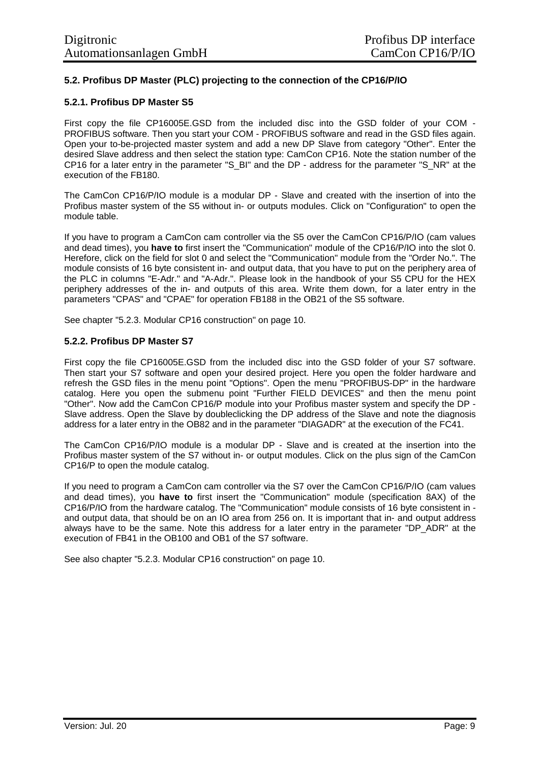# **5.2. Profibus DP Master (PLC) projecting to the connection of the CP16/P/IO**

# **5.2.1. Profibus DP Master S5**

First copy the file CP16005E.GSD from the included disc into the GSD folder of your COM - PROFIBUS software. Then you start your COM - PROFIBUS software and read in the GSD files again. Open your to-be-projected master system and add a new DP Slave from category "Other". Enter the desired Slave address and then select the station type: CamCon CP16. Note the station number of the CP16 for a later entry in the parameter "S\_BI" and the DP - address for the parameter "S\_NR" at the execution of the FB180.

The CamCon CP16/P/IO module is a modular DP - Slave and created with the insertion of into the Profibus master system of the S5 without in- or outputs modules. Click on "Configuration" to open the module table.

If you have to program a CamCon cam controller via the S5 over the CamCon CP16/P/IO (cam values and dead times), you **have to** first insert the "Communication" module of the CP16/P/IO into the slot 0. Herefore, click on the field for slot 0 and select the "Communication" module from the "Order No.". The module consists of 16 byte consistent in- and output data, that you have to put on the periphery area of the PLC in columns "E-Adr." and "A-Adr.". Please look in the handbook of your S5 CPU for the HEX periphery addresses of the in- and outputs of this area. Write them down, for a later entry in the parameters "CPAS" and "CPAE" for operation FB188 in the OB21 of the S5 software.

See chapter "5.2.3. Modular CP16 construction" on page 10.

# **5.2.2. Profibus DP Master S7**

First copy the file CP16005E.GSD from the included disc into the GSD folder of your S7 software. Then start your S7 software and open your desired project. Here you open the folder hardware and refresh the GSD files in the menu point "Options". Open the menu "PROFIBUS-DP" in the hardware catalog. Here you open the submenu point "Further FIELD DEVICES" and then the menu point "Other". Now add the CamCon CP16/P module into your Profibus master system and specify the DP - Slave address. Open the Slave by doubleclicking the DP address of the Slave and note the diagnosis address for a later entry in the OB82 and in the parameter "DIAGADR" at the execution of the FC41.

The CamCon CP16/P/IO module is a modular DP - Slave and is created at the insertion into the Profibus master system of the S7 without in- or output modules. Click on the plus sign of the CamCon CP16/P to open the module catalog.

If you need to program a CamCon cam controller via the S7 over the CamCon CP16/P/IO (cam values and dead times), you **have to** first insert the "Communication" module (specification 8AX) of the CP16/P/IO from the hardware catalog. The "Communication" module consists of 16 byte consistent in and output data, that should be on an IO area from 256 on. It is important that in- and output address always have to be the same. Note this address for a later entry in the parameter "DP\_ADR" at the execution of FB41 in the OB100 and OB1 of the S7 software.

See also chapter "5.2.3. Modular CP16 construction" on page 10.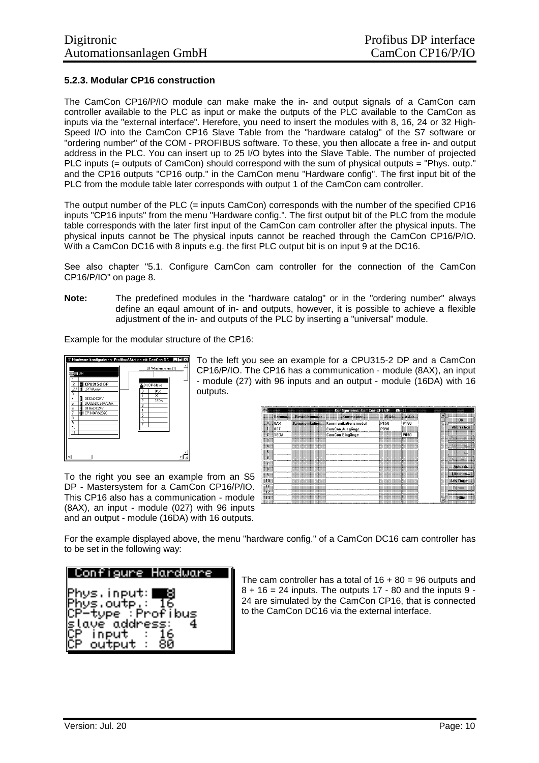# **5.2.3. Modular CP16 construction**

The CamCon CP16/P/IO module can make make the in- and output signals of a CamCon cam controller available to the PLC as input or make the outputs of the PLC available to the CamCon as inputs via the "external interface". Herefore, you need to insert the modules with 8, 16, 24 or 32 High-Speed I/O into the CamCon CP16 Slave Table from the "hardware catalog" of the S7 software or "ordering number" of the COM - PROFIBUS software. To these, you then allocate a free in- and output address in the PLC. You can insert up to 25 I/O bytes into the Slave Table. The number of projected PLC inputs (= outputs of CamCon) should correspond with the sum of physical outputs = "Phys. outp." and the CP16 outputs "CP16 outp." in the CamCon menu "Hardware config". The first input bit of the PLC from the module table later corresponds with output 1 of the CamCon cam controller.

The output number of the PLC (= inputs CamCon) corresponds with the number of the specified CP16 inputs "CP16 inputs" from the menu "Hardware config.". The first output bit of the PLC from the module table corresponds with the later first input of the CamCon cam controller after the physical inputs. The physical inputs cannot be The physical inputs cannot be reached through the CamCon CP16/P/IO. With a CamCon DC16 with 8 inputs e.g. the first PLC output bit is on input 9 at the DC16.

See also chapter "5.1. Configure CamCon cam controller for the connection of the CamCon CP16/P/IO" on page 8.

**Note:** The predefined modules in the "hardware catalog" or in the "ordering number" always define an eqaul amount of in- and outputs, however, it is possible to achieve a flexible adjustment of the in- and outputs of the PLC by inserting a "universal" module.

Example for the modular structure of the CP16:



To the left you see an example for a CPU315-2 DP and a CamCon CP16/P/IO. The CP16 has a communication - module (8AX), an input - module (27) with 96 inputs and an output - module (16DA) with 16 outputs.

| <br>ш                             |             |                                                  | Konfigurieren: CamCon CP16/P #6 <> |                                     |                                          |                                                                    |
|-----------------------------------|-------------|--------------------------------------------------|------------------------------------|-------------------------------------|------------------------------------------|--------------------------------------------------------------------|
|                                   | Kennung     | Bestellnummer                                    | Kommentar <b>Kommentar</b>         | E Adr.                              | A Adr.                                   | <b>ENGINEERING</b>                                                 |
| <br>88                            | 8AX         | Kommunikation                                    | Kommunikationsmodul                | P150                                | P150                                     | <b>Abbrechen</b>                                                   |
| 20000 20050<br>**********<br><br> | 027         |                                                  | CamCon Ausgänge                    | P090                                | ,,,,,,,,,,,,,,,,,<br><br>800000000000000 |                                                                    |
| <b>EXAMPLE</b>                    | <b>16DA</b> | ,,,,,,,,,,,,,,,,,,,,,,,,,,,,,,,,,,               | CamCon Eingänge                    | <br><br><br>,,,,,,,,,,,,,,,,,,,,,,, | <b>P090</b>                              | <br><br>                                                           |
| - 1<br>                           |             |                                                  |                                    |                                     |                                          | ,,,,,,,,,,,,,,,,,,,,,,,,,,,,,<br>,,,,,,,,,,,,,,,,,,,,,,,,,,,,,<br> |
| ,,,,,,,,,,,<br>                   |             | <br><br><br>                                     |                                    |                                     |                                          |                                                                    |
| <b>HISH</b><br><br>               |             | <br>                                             |                                    |                                     |                                          | <b>LANGARATION</b><br>                                             |
| - 6                               |             | <br>                                             |                                    |                                     |                                          | ,,,,,,,,,,,,,,,,,,,,,,,,,                                          |
| <b>MARK</b><br><br>               |             |                                                  |                                    |                                     | <br>                                     | Autoadr.                                                           |
| ▒                                 |             | <br><br><br>                                     | ---------------------------        |                                     |                                          |                                                                    |
| -9<br>,,,,,,,,                    |             | <br><br><br>,,,,,,,,,,,,,,,,,,,,,,,,,,,,,,,,,,,, |                                    |                                     |                                          | Läschen.                                                           |
| - 18<br>                          |             | <br>,,,,,,,,,,,,,,,,,,,,,,,,,,,,,,,,,,,,,        |                                    |                                     |                                          | Adr. Haum                                                          |
|                                   |             | <br>,,,,,,,,,,,,,,,,,,,,,,,,,,,,,,,,,,,,,<br>    |                                    |                                     |                                          | ****************                                                   |
| 12.                               |             |                                                  |                                    |                                     |                                          |                                                                    |
| 13<br>                            |             | <br>                                             |                                    |                                     | ,,,,,,,,,,,<br>                          | <b>HELL Hiller</b><br>                                             |

To the right you see an example from an S5 DP - Mastersystem for a CamCon CP16/P/IO. This CP16 also has a communication - module (8AX), an input - module (027) with 96 inputs and an output - module (16DA) with 16 outputs.

For the example displayed above, the menu "hardware config." of a CamCon DC16 cam controller has to be set in the following way:

|  | Configure Hardware                                                                         |
|--|--------------------------------------------------------------------------------------------|
|  |                                                                                            |
|  |                                                                                            |
|  | Phys.input:■■3<br>Phys.outp.: 16<br>CP-type :Profibus<br>slave address: 4<br>CP input : 16 |
|  |                                                                                            |
|  |                                                                                            |

CP output : 80

The cam controller has a total of  $16 + 80 = 96$  outputs and  $8 + 16 = 24$  inputs. The outputs 17 - 80 and the inputs 9 -24 are simulated by the CamCon CP16, that is connected to the CamCon DC16 via the external interface.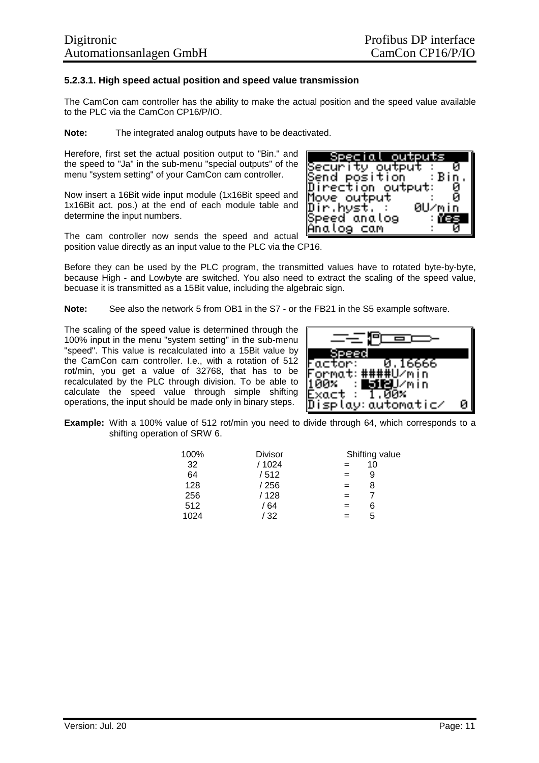# **5.2.3.1. High speed actual position and speed value transmission**

The CamCon cam controller has the ability to make the actual position and the speed value available to the PLC via the CamCon CP16/P/IO.

**Note:** The integrated analog outputs have to be deactivated.

Herefore, first set the actual position output to "Bin." and the speed to "Ja" in the sub-menu "special outputs" of the menu "system setting" of your CamCon cam controller.

Now insert a 16Bit wide input module (1x16Bit speed and 1x16Bit act. pos.) at the end of each module table and determine the input numbers.

**Sascial outputs**<br>Security output :<br>Send position : B<br>Direction output:<br>Move output Bin. П Mone on‡bn‡ ∭īrīhyst. 0U∕min п. Speed anatog Mes Mnatog cam U

The cam controller now sends the speed and actual position value directly as an input value to the PLC via the CP16.

Before they can be used by the PLC program, the transmitted values have to rotated byte-by-byte, because High - and Lowbyte are switched. You also need to extract the scaling of the speed value, becuase it is transmitted as a 15Bit value, including the algebraic sign.

**Note:** See also the network 5 from OB1 in the S7 - or the FB21 in the S5 example software.

The scaling of the speed value is determined through the 100% input in the menu "system setting" in the sub-menu "speed". This value is recalculated into a 15Bit value by the CamCon cam controller. I.e., with a rotation of 512 rot/min, you get a value of 32768, that has to be recalculated by the PLC through division. To be able to calculate the speed value through simple shifting operations, the input should be made only in binary steps.



**Example:** With a 100% value of 512 rot/min you need to divide through 64, which corresponds to a shifting operation of SRW 6.

| 100% | <b>Divisor</b> | Shifting value |
|------|----------------|----------------|
| 32   | / 1024         | 10             |
| 64   | /512           | 9              |
| 128  | /256           | 8              |
| 256  | / 128          |                |
| 512  | / 64           | 6<br>-         |
| 1024 | 32             | 5              |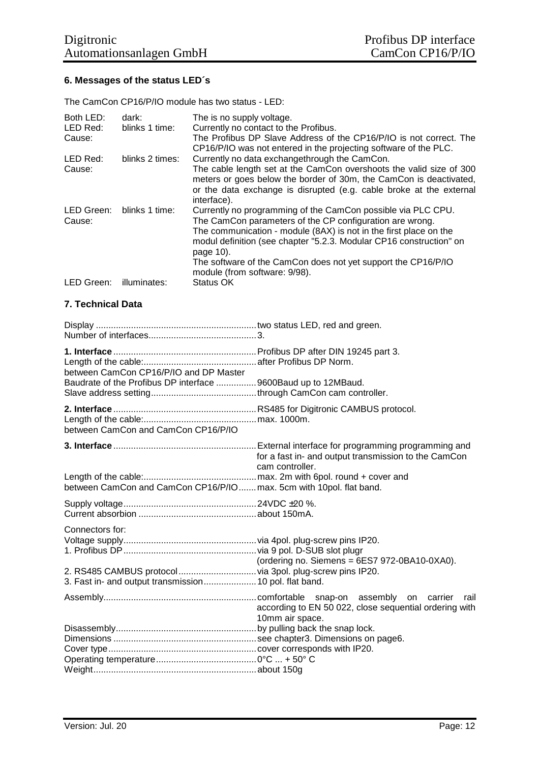# **6. Messages of the status LED´s**

The CamCon CP16/P/IO module has two status - LED:

| Both LED:<br>LED Red:<br>Cause: | dark:<br>blinks 1 time: | The is no supply voltage.<br>Currently no contact to the Profibus.<br>The Profibus DP Slave Address of the CP16/P/IO is not correct. The<br>CP16/P/IO was not entered in the projecting software of the PLC.                                                                                                                                       |
|---------------------------------|-------------------------|----------------------------------------------------------------------------------------------------------------------------------------------------------------------------------------------------------------------------------------------------------------------------------------------------------------------------------------------------|
| LED Red:<br>Cause:              | blinks 2 times:         | Currently no data exchangethrough the CamCon.<br>The cable length set at the CamCon overshoots the valid size of 300<br>meters or goes below the border of 30m, the CamCon is deactivated,<br>or the data exchange is disrupted (e.g. cable broke at the external<br>interface).                                                                   |
| LED Green:<br>Cause:            | blinks 1 time:          | Currently no programming of the CamCon possible via PLC CPU.<br>The CamCon parameters of the CP configuration are wrong.<br>The communication - module (8AX) is not in the first place on the<br>modul definition (see chapter "5.2.3. Modular CP16 construction" on<br>page 10).<br>The software of the CamCon does not yet support the CP16/P/IO |
| LED Green:                      | illuminates:            | module (from software: 9/98).<br>Status OK                                                                                                                                                                                                                                                                                                         |

# **7. Technical Data**

| between CamCon CP16/P/IO and DP Master                             |                                                                                   |
|--------------------------------------------------------------------|-----------------------------------------------------------------------------------|
| Baudrate of the Profibus DP interface 9600Baud up to 12MBaud.      |                                                                                   |
| between CamCon and CamCon CP16/P/IO                                |                                                                                   |
|                                                                    | for a fast in- and output transmission to the CamCon<br>cam controller.           |
| between CamCon and CamCon CP16/P/IOmax. 5cm with 10pol. flat band. |                                                                                   |
|                                                                    |                                                                                   |
| Connectors for:                                                    | (ordering no. Siemens = 6ES7 972-0BA10-0XA0).                                     |
| 3. Fast in- and output transmission 10 pol. flat band.             |                                                                                   |
|                                                                    | rail<br>according to EN 50 022, close sequential ordering with<br>10mm air space. |
|                                                                    |                                                                                   |
|                                                                    |                                                                                   |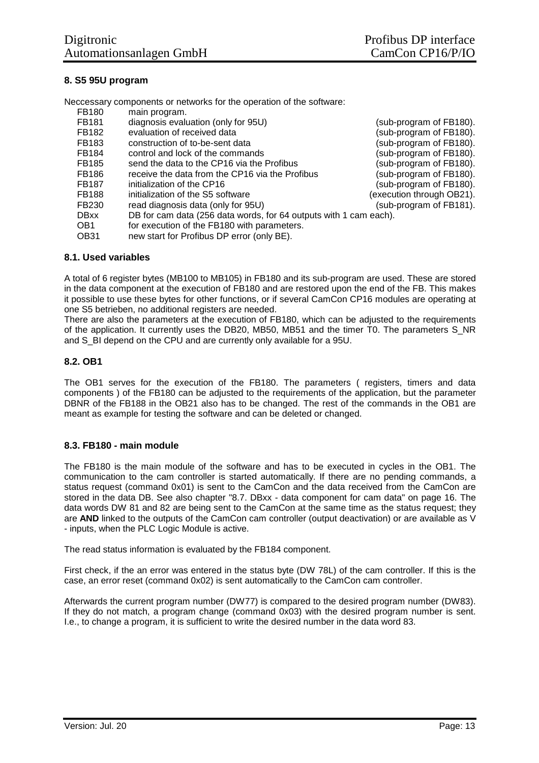# **8. S5 95U program**

Neccessary components or networks for the operation of the software:

| <b>FB180</b>     | main program.                                                     |                           |
|------------------|-------------------------------------------------------------------|---------------------------|
| FB181            | diagnosis evaluation (only for 95U)                               | (sub-program of FB180).   |
| FB182            | evaluation of received data                                       | (sub-program of FB180).   |
| FB183            | construction of to-be-sent data                                   | (sub-program of FB180).   |
| FB184            | control and lock of the commands                                  | (sub-program of FB180).   |
| FB185            | send the data to the CP16 via the Profibus                        | (sub-program of FB180).   |
| FB186            | receive the data from the CP16 via the Profibus                   | (sub-program of FB180).   |
| <b>FB187</b>     | initialization of the CP16                                        | (sub-program of FB180).   |
| <b>FB188</b>     | initialization of the S5 software                                 | (execution through OB21). |
| FB230            | read diagnosis data (only for 95U)                                | (sub-program of FB181).   |
| <b>DBxx</b>      | DB for cam data (256 data words, for 64 outputs with 1 cam each). |                           |
| OB <sub>1</sub>  | for execution of the FB180 with parameters.                       |                           |
| OB <sub>31</sub> | new start for Profibus DP error (only BE).                        |                           |

# **8.1. Used variables**

A total of 6 register bytes (MB100 to MB105) in FB180 and its sub-program are used. These are stored in the data component at the execution of FB180 and are restored upon the end of the FB. This makes it possible to use these bytes for other functions, or if several CamCon CP16 modules are operating at one S5 betrieben, no additional registers are needed.

There are also the parameters at the execution of FB180, which can be adjusted to the requirements of the application. It currently uses the DB20, MB50, MB51 and the timer T0. The parameters S\_NR and S\_BI depend on the CPU and are currently only available for a 95U.

#### **8.2. OB1**

The OB1 serves for the execution of the FB180. The parameters ( registers, timers and data components ) of the FB180 can be adjusted to the requirements of the application, but the parameter DBNR of the FB188 in the OB21 also has to be changed. The rest of the commands in the OB1 are meant as example for testing the software and can be deleted or changed.

#### **8.3. FB180 - main module**

The FB180 is the main module of the software and has to be executed in cycles in the OB1. The communication to the cam controller is started automatically. If there are no pending commands, a status request (command 0x01) is sent to the CamCon and the data received from the CamCon are stored in the data DB. See also chapter "8.7. DBxx - data component for cam data" on page 16. The data words DW 81 and 82 are being sent to the CamCon at the same time as the status request; they are **AND** linked to the outputs of the CamCon cam controller (output deactivation) or are available as V - inputs, when the PLC Logic Module is active.

The read status information is evaluated by the FB184 component.

First check, if the an error was entered in the status byte (DW 78L) of the cam controller. If this is the case, an error reset (command 0x02) is sent automatically to the CamCon cam controller.

Afterwards the current program number (DW77) is compared to the desired program number (DW83). If they do not match, a program change (command 0x03) with the desired program number is sent. I.e., to change a program, it is sufficient to write the desired number in the data word 83.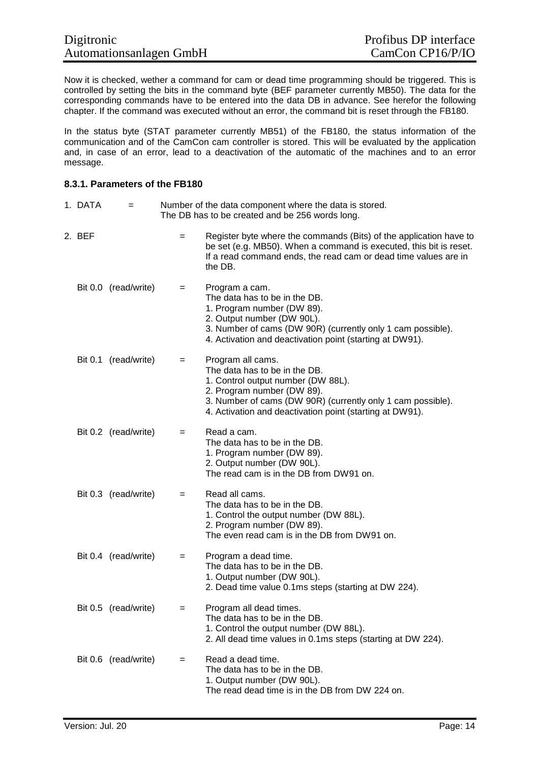Now it is checked, wether a command for cam or dead time programming should be triggered. This is controlled by setting the bits in the command byte (BEF parameter currently MB50). The data for the corresponding commands have to be entered into the data DB in advance. See herefor the following chapter. If the command was executed without an error, the command bit is reset through the FB180.

In the status byte (STAT parameter currently MB51) of the FB180, the status information of the communication and of the CamCon cam controller is stored. This will be evaluated by the application and, in case of an error, lead to a deactivation of the automatic of the machines and to an error message.

# **8.3.1. Parameters of the FB180**

| 1. DATA | $=$                  |     | Number of the data component where the data is stored.<br>The DB has to be created and be 256 words long.                                                                                                                                         |
|---------|----------------------|-----|---------------------------------------------------------------------------------------------------------------------------------------------------------------------------------------------------------------------------------------------------|
| 2. BEF  |                      | $=$ | Register byte where the commands (Bits) of the application have to<br>be set (e.g. MB50). When a command is executed, this bit is reset.<br>If a read command ends, the read cam or dead time values are in<br>the DB.                            |
|         | Bit 0.0 (read/write) | $=$ | Program a cam.<br>The data has to be in the DB.<br>1. Program number (DW 89).<br>2. Output number (DW 90L).<br>3. Number of cams (DW 90R) (currently only 1 cam possible).<br>4. Activation and deactivation point (starting at DW91).            |
|         | Bit 0.1 (read/write) | $=$ | Program all cams.<br>The data has to be in the DB.<br>1. Control output number (DW 88L).<br>2. Program number (DW 89).<br>3. Number of cams (DW 90R) (currently only 1 cam possible).<br>4. Activation and deactivation point (starting at DW91). |
|         | Bit 0.2 (read/write) | $=$ | Read a cam.<br>The data has to be in the DB.<br>1. Program number (DW 89).<br>2. Output number (DW 90L).<br>The read cam is in the DB from DW91 on.                                                                                               |
|         | Bit 0.3 (read/write) | $=$ | Read all cams.<br>The data has to be in the DB.<br>1. Control the output number (DW 88L).<br>2. Program number (DW 89).<br>The even read cam is in the DB from DW91 on.                                                                           |
|         | Bit 0.4 (read/write) | $=$ | Program a dead time.<br>The data has to be in the DB.<br>1. Output number (DW 90L).<br>2. Dead time value 0.1ms steps (starting at DW 224).                                                                                                       |
|         | Bit 0.5 (read/write) | $=$ | Program all dead times.<br>The data has to be in the DB.<br>1. Control the output number (DW 88L).<br>2. All dead time values in 0.1ms steps (starting at DW 224).                                                                                |
|         | Bit 0.6 (read/write) | $=$ | Read a dead time.<br>The data has to be in the DB.<br>1. Output number (DW 90L).<br>The read dead time is in the DB from DW 224 on.                                                                                                               |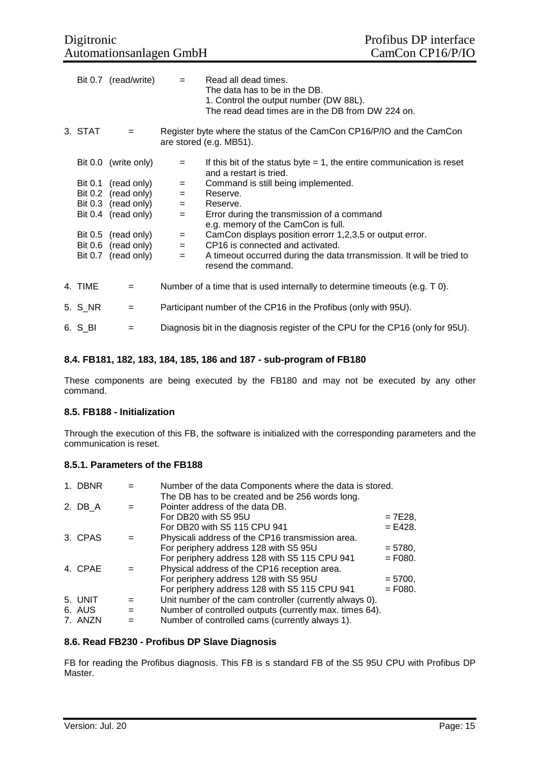|         | Bit 0.7 (read/write)                       | $=$        | Read all dead times.<br>The data has to be in the DB.<br>1. Control the output number (DW 88L).<br>The read dead times are in the DB from DW 224 on. |
|---------|--------------------------------------------|------------|------------------------------------------------------------------------------------------------------------------------------------------------------|
| 3. STAT | $=$                                        |            | Register byte where the status of the CamCon CP16/P/IO and the CamCon<br>are stored (e.g. MB51).                                                     |
|         | Bit 0.0 (write only)                       | $=$        | If this bit of the status byte $= 1$ , the entire communication is reset<br>and a restart is tried.                                                  |
|         | Bit 0.1 (read only)                        | $=$        | Command is still being implemented.                                                                                                                  |
|         | Bit 0.2 (read only)                        | $=$        | Reserve.                                                                                                                                             |
|         | Bit 0.3 (read only)                        | $=$        | Reserve.                                                                                                                                             |
|         | Bit 0.4 (read only)                        | $=$        | Error during the transmission of a command                                                                                                           |
|         |                                            |            | e.g. memory of the CamCon is full.<br>CamCon displays position errorr 1,2,3,5 or output error.                                                       |
|         | Bit 0.5 (read only)<br>Bit 0.6 (read only) | $=$<br>$=$ | CP16 is connected and activated.                                                                                                                     |
|         | Bit 0.7 (read only)                        | $=$        | A timeout occurred during the data trransmission. It will be tried to<br>resend the command.                                                         |
| 4. TIME | $=$                                        |            | Number of a time that is used internally to determine timeouts (e.g. T 0).                                                                           |
| 5. S_NR | $=$                                        |            | Participant number of the CP16 in the Profibus (only with 95U).                                                                                      |
| 6. S_BI | $=$                                        |            | Diagnosis bit in the diagnosis register of the CPU for the CP16 (only for 95U).                                                                      |

#### **8.4. FB181, 182, 183, 184, 185, 186 and 187 - sub-program of FB180**

These components are being executed by the FB180 and may not be executed by any other command.

#### **8.5. FB188 - Initialization**

Through the execution of this FB, the software is initialized with the corresponding parameters and the communication is reset.

# **8.5.1. Parameters of the FB188**

| 1. DBNR | $=$ | The DB has to be created and be 256 words long.         |                                                                                                                          |
|---------|-----|---------------------------------------------------------|--------------------------------------------------------------------------------------------------------------------------|
| 2. DB A |     | Pointer address of the data DB.                         | $= 7E28,$                                                                                                                |
|         |     | For DB20 with S5 115 CPU 941                            | $= E428.$                                                                                                                |
| 3. CPAS | $=$ | Physicali address of the CP16 transmission area.        |                                                                                                                          |
|         |     |                                                         | $= 5780,$                                                                                                                |
|         |     | For periphery address 128 with S5 115 CPU 941           | $=$ F080.                                                                                                                |
| 4. CPAE |     | Physical address of the CP16 reception area.            |                                                                                                                          |
|         |     | For periphery address 128 with S5 95U                   | $= 5700,$                                                                                                                |
|         |     | For periphery address 128 with S5 115 CPU 941           | $=$ F080.                                                                                                                |
| 5. UNIT | $=$ | Unit number of the cam controller (currently always 0). |                                                                                                                          |
| 6. AUS  | $=$ | Number of controlled outputs (currently max. times 64). |                                                                                                                          |
| 7. ANZN | $=$ | Number of controlled cams (currently always 1).         |                                                                                                                          |
|         |     |                                                         | Number of the data Components where the data is stored.<br>For DB20 with S5 95U<br>For periphery address 128 with S5 95U |

#### **8.6. Read FB230 - Profibus DP Slave Diagnosis**

FB for reading the Profibus diagnosis. This FB is s standard FB of the S5 95U CPU with Profibus DP Master.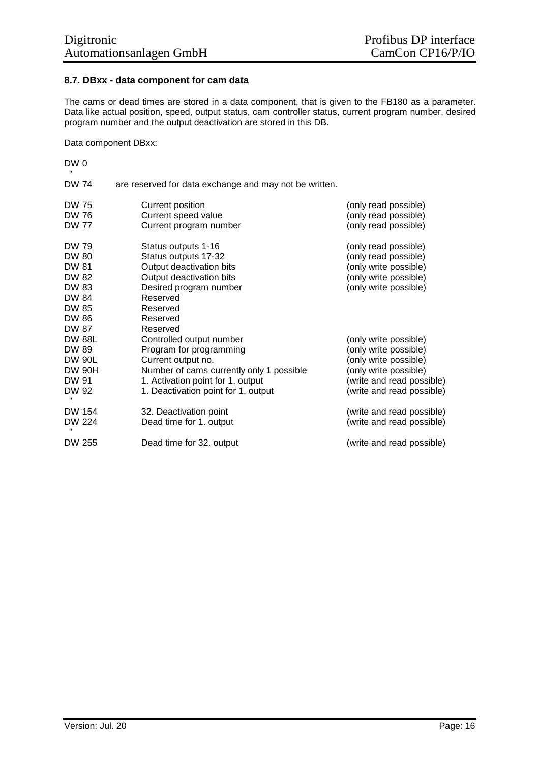# **8.7. DBxx - data component for cam data**

The cams or dead times are stored in a data component, that is given to the FB180 as a parameter. Data like actual position, speed, output status, cam controller status, current program number, desired program number and the output deactivation are stored in this DB.

Data component DBxx:

| DW <sub>0</sub><br>$\mathbf{H}$                                                            |                                                                                                                                                                                                   |                                                                                                                                                            |
|--------------------------------------------------------------------------------------------|---------------------------------------------------------------------------------------------------------------------------------------------------------------------------------------------------|------------------------------------------------------------------------------------------------------------------------------------------------------------|
| <b>DW 74</b>                                                                               | are reserved for data exchange and may not be written.                                                                                                                                            |                                                                                                                                                            |
| <b>DW 75</b><br>DW 76<br><b>DW 77</b>                                                      | <b>Current position</b><br>Current speed value<br>Current program number                                                                                                                          | (only read possible)<br>(only read possible)<br>(only read possible)                                                                                       |
| DW 79<br>DW 80<br>DW 81<br>DW 82<br>DW 83<br>DW 84<br>DW 85<br>DW 86<br>DW 87              | Status outputs 1-16<br>Status outputs 17-32<br>Output deactivation bits<br>Output deactivation bits<br>Desired program number<br>Reserved<br>Reserved<br>Reserved<br>Reserved                     | (only read possible)<br>(only read possible)<br>(only write possible)<br>(only write possible)<br>(only write possible)                                    |
| <b>DW 88L</b><br>DW 89<br><b>DW 90L</b><br><b>DW 90H</b><br>DW 91<br>DW 92<br>$\mathbf{u}$ | Controlled output number<br>Program for programming<br>Current output no.<br>Number of cams currently only 1 possible<br>1. Activation point for 1. output<br>1. Deactivation point for 1. output | (only write possible)<br>(only write possible)<br>(only write possible)<br>(only write possible)<br>(write and read possible)<br>(write and read possible) |
| DW 154<br><b>DW 224</b><br>$\mathbf{u}$                                                    | 32. Deactivation point<br>Dead time for 1. output                                                                                                                                                 | (write and read possible)<br>(write and read possible)                                                                                                     |
| <b>DW 255</b>                                                                              | Dead time for 32. output                                                                                                                                                                          | (write and read possible)                                                                                                                                  |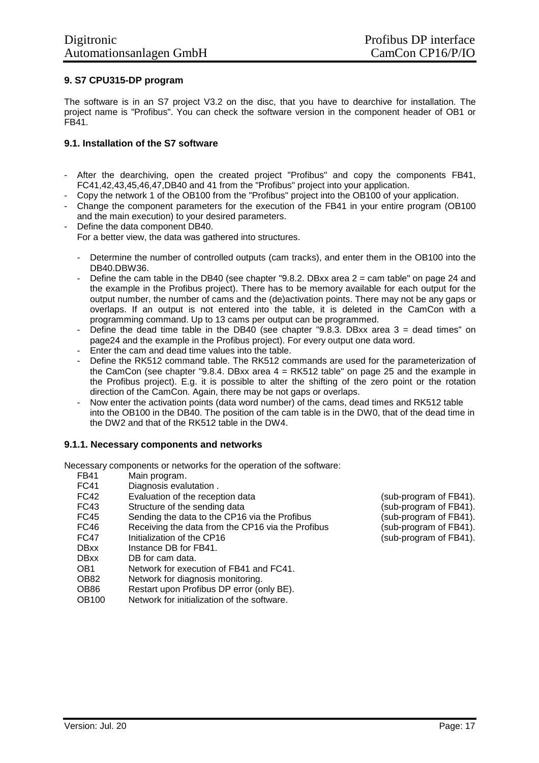# **9. S7 CPU315-DP program**

The software is in an S7 project V3.2 on the disc, that you have to dearchive for installation. The project name is "Profibus". You can check the software version in the component header of OB1 or FB41.

# **9.1. Installation of the S7 software**

- After the dearchiving, open the created project "Profibus" and copy the components FB41, FC41,42,43,45,46,47,DB40 and 41 from the "Profibus" project into your application.
- Copy the network 1 of the OB100 from the "Profibus" project into the OB100 of your application.
- Change the component parameters for the execution of the FB41 in your entire program (OB100 and the main execution) to your desired parameters.
- Define the data component DB40. For a better view, the data was gathered into structures.
	- Determine the number of controlled outputs (cam tracks), and enter them in the OB100 into the DB40.DBW36.
	- Define the cam table in the DB40 (see chapter "9.8.2. DBxx area  $2 =$  cam table" on page 24 and the example in the Profibus project). There has to be memory available for each output for the output number, the number of cams and the (de)activation points. There may not be any gaps or overlaps. If an output is not entered into the table, it is deleted in the CamCon with a programming command. Up to 13 cams per output can be programmed.
	- Define the dead time table in the DB40 (see chapter "9.8.3. DBxx area 3 = dead times" on page24 and the example in the Profibus project). For every output one data word.
	- Enter the cam and dead time values into the table.
	- Define the RK512 command table. The RK512 commands are used for the parameterization of the CamCon (see chapter "9.8.4. DBxx area  $4 = RK512$  table" on page 25 and the example in the Profibus project). E.g. it is possible to alter the shifting of the zero point or the rotation direction of the CamCon. Again, there may be not gaps or overlaps.
	- Now enter the activation points (data word number) of the cams, dead times and RK512 table into the OB100 in the DB40. The position of the cam table is in the DW0, that of the dead time in the DW2 and that of the RK512 table in the DW4.

#### **9.1.1. Necessary components and networks**

Necessary components or networks for the operation of the software:

- FB41 Main program.
- FC41 Diagnosis evalutation .
- FC42 Evaluation of the reception data (sub-program of FB41).
- FC43 Structure of the sending data (sub-program of FB41).
- FC45 Sending the data to the CP16 via the Profibus (sub-program of FB41).
- FC46 Receiving the data from the CP16 via the Profibus (sub-program of FB41).
- FC47 Initialization of the CP16 (sub-program of FB41).
- DBxx Instance DB for FB41.
- DBxx DB for cam data.
- OB1 Network for execution of FB41 and FC41.
- OB82 Network for diagnosis monitoring.
- OB86 Restart upon Profibus DP error (only BE).
- OB100 Network for initialization of the software.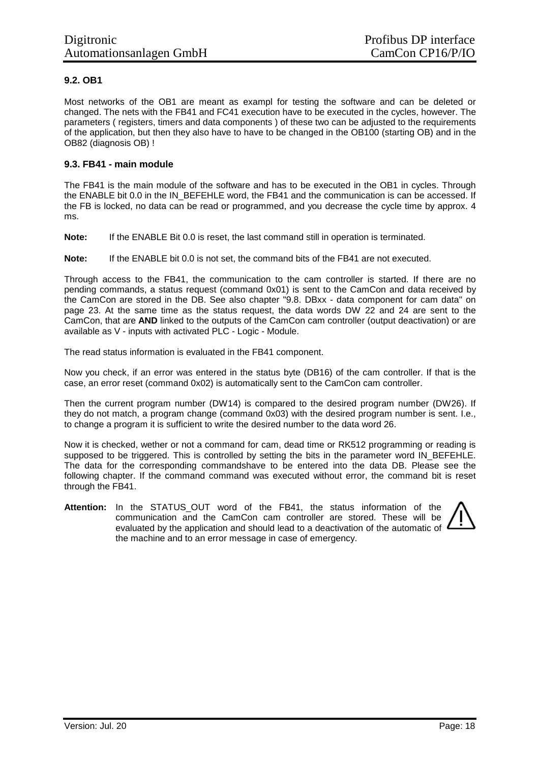# **9.2. OB1**

Most networks of the OB1 are meant as exampl for testing the software and can be deleted or changed. The nets with the FB41 and FC41 execution have to be executed in the cycles, however. The parameters ( registers, timers and data components ) of these two can be adjusted to the requirements of the application, but then they also have to have to be changed in the OB100 (starting OB) and in the OB82 (diagnosis OB) !

#### **9.3. FB41 - main module**

The FB41 is the main module of the software and has to be executed in the OB1 in cycles. Through the ENABLE bit 0.0 in the IN BEFEHLE word, the FB41 and the communication is can be accessed. If the FB is locked, no data can be read or programmed, and you decrease the cycle time by approx. 4 ms.

**Note:** If the ENABLE Bit 0.0 is reset, the last command still in operation is terminated.

**Note:** If the ENABLE bit 0.0 is not set, the command bits of the FB41 are not executed.

Through access to the FB41, the communication to the cam controller is started. If there are no pending commands, a status request (command 0x01) is sent to the CamCon and data received by the CamCon are stored in the DB. See also chapter "9.8. DBxx - data component for cam data" on page 23. At the same time as the status request, the data words DW 22 and 24 are sent to the CamCon, that are **AND** linked to the outputs of the CamCon cam controller (output deactivation) or are available as V - inputs with activated PLC - Logic - Module.

The read status information is evaluated in the FB41 component.

Now you check, if an error was entered in the status byte (DB16) of the cam controller. If that is the case, an error reset (command 0x02) is automatically sent to the CamCon cam controller.

Then the current program number (DW14) is compared to the desired program number (DW26). If they do not match, a program change (command 0x03) with the desired program number is sent. I.e., to change a program it is sufficient to write the desired number to the data word 26.

Now it is checked, wether or not a command for cam, dead time or RK512 programming or reading is supposed to be triggered. This is controlled by setting the bits in the parameter word IN\_BEFEHLE. The data for the corresponding commandshave to be entered into the data DB. Please see the following chapter. If the command command was executed without error, the command bit is reset through the FB41.

**Attention:** In the STATUS\_OUT word of the FB41, the status information of the communication and the CamCon cam controller are stored. These will be evaluated by the application and should lead to a deactivation of the automatic of the machine and to an error message in case of emergency.

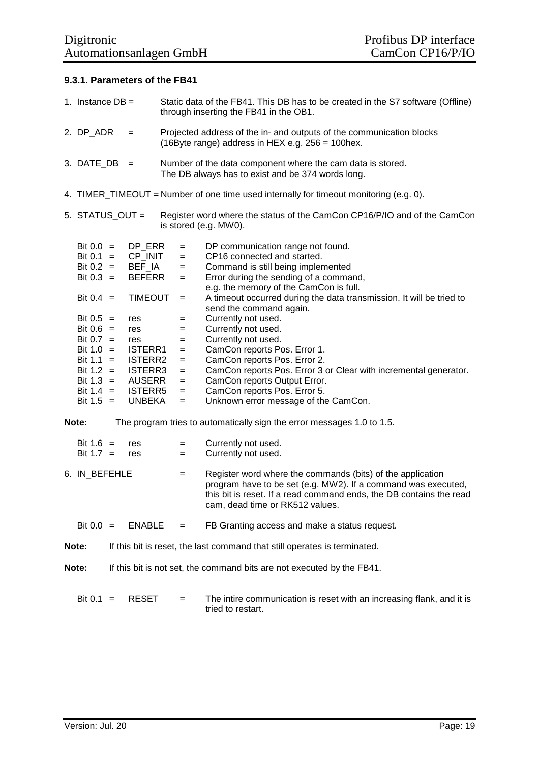# **9.3.1. Parameters of the FB41**

|       | 1. Instance $DB =$                                                                                                                                                                                             |                                                                           |                                                                                                                                                                   | Static data of the FB41. This DB has to be created in the S7 software (Offline)<br>through inserting the FB41 in the OB1. |                                                                                                                                                                                                                                                                                                                                                                                                                                                                                                                                                                                                                |  |
|-------|----------------------------------------------------------------------------------------------------------------------------------------------------------------------------------------------------------------|---------------------------------------------------------------------------|-------------------------------------------------------------------------------------------------------------------------------------------------------------------|---------------------------------------------------------------------------------------------------------------------------|----------------------------------------------------------------------------------------------------------------------------------------------------------------------------------------------------------------------------------------------------------------------------------------------------------------------------------------------------------------------------------------------------------------------------------------------------------------------------------------------------------------------------------------------------------------------------------------------------------------|--|
|       | 2. DP_ADR                                                                                                                                                                                                      |                                                                           | $=$                                                                                                                                                               |                                                                                                                           | Projected address of the in- and outputs of the communication blocks<br>(16Byte range) address in HEX e.g. $256 = 100$ hex.                                                                                                                                                                                                                                                                                                                                                                                                                                                                                    |  |
|       | $3.$ DATE_DB =                                                                                                                                                                                                 |                                                                           |                                                                                                                                                                   |                                                                                                                           | Number of the data component where the cam data is stored.<br>The DB always has to exist and be 374 words long.                                                                                                                                                                                                                                                                                                                                                                                                                                                                                                |  |
|       |                                                                                                                                                                                                                |                                                                           |                                                                                                                                                                   |                                                                                                                           | 4. TIMER_TIMEOUT = Number of one time used internally for timeout monitoring (e.g. 0).                                                                                                                                                                                                                                                                                                                                                                                                                                                                                                                         |  |
|       | 5. STATUS_OUT =                                                                                                                                                                                                |                                                                           |                                                                                                                                                                   | is stored (e.g. MW0).                                                                                                     | Register word where the status of the CamCon CP16/P/IO and of the CamCon                                                                                                                                                                                                                                                                                                                                                                                                                                                                                                                                       |  |
|       | Bit $0.0 =$<br>Bit $0.1 =$<br>Bit $0.2 =$<br>Bit $0.3 =$<br>Bit $0.4 =$<br>Bit $0.5 =$<br>Bit $0.6 =$<br>Bit $0.7 =$<br>Bit $1.0 =$<br>Bit 1.1 $=$<br>Bit $1.2 =$<br>Bit $1.3 =$<br>Bit $1.4 =$<br>Bit $1.5 =$ |                                                                           | DP_ERR<br>CP_INIT<br>BEF_IA<br><b>BEFERR</b><br><b>TIMEOUT</b><br>res<br>res<br>res<br>ISTERR1<br>ISTERR2<br>ISTERR3<br>AUSERR<br><b>ISTERR5</b><br><b>UNBEKA</b> | $=$<br>$=$<br>$=$<br>$=$<br>$=$<br>=<br>$=$<br>$=$<br>$=$<br>$=$<br>$=$<br>$=$<br>$=$<br>$=$                              | DP communication range not found.<br>CP16 connected and started.<br>Command is still being implemented<br>Error during the sending of a command,<br>e.g. the memory of the CamCon is full.<br>A timeout occurred during the data transmission. It will be tried to<br>send the command again.<br>Currently not used.<br>Currently not used.<br>Currently not used.<br>CamCon reports Pos. Error 1.<br>CamCon reports Pos. Error 2.<br>CamCon reports Pos. Error 3 or Clear with incremental generator.<br>CamCon reports Output Error.<br>CamCon reports Pos. Error 5.<br>Unknown error message of the CamCon. |  |
| Note: |                                                                                                                                                                                                                |                                                                           |                                                                                                                                                                   |                                                                                                                           | The program tries to automatically sign the error messages 1.0 to 1.5.                                                                                                                                                                                                                                                                                                                                                                                                                                                                                                                                         |  |
|       | Bit $1.6 =$<br>Bit $1.7 =$                                                                                                                                                                                     |                                                                           | res<br>res                                                                                                                                                        | $=$<br>$=$                                                                                                                | Currently not used.<br>Currently not used.                                                                                                                                                                                                                                                                                                                                                                                                                                                                                                                                                                     |  |
|       | 6. IN_BEFEHLE                                                                                                                                                                                                  |                                                                           |                                                                                                                                                                   | $=$                                                                                                                       | Register word where the commands (bits) of the application<br>program have to be set (e.g. MW2). If a command was executed,<br>this bit is reset. If a read command ends, the DB contains the read<br>cam, dead time or RK512 values.                                                                                                                                                                                                                                                                                                                                                                          |  |
|       | Bit $0.0 =$                                                                                                                                                                                                    |                                                                           | <b>ENABLE</b>                                                                                                                                                     | $=$                                                                                                                       | FB Granting access and make a status request.                                                                                                                                                                                                                                                                                                                                                                                                                                                                                                                                                                  |  |
| Note: |                                                                                                                                                                                                                | If this bit is reset, the last command that still operates is terminated. |                                                                                                                                                                   |                                                                                                                           |                                                                                                                                                                                                                                                                                                                                                                                                                                                                                                                                                                                                                |  |
|       | Note:                                                                                                                                                                                                          |                                                                           |                                                                                                                                                                   |                                                                                                                           | If this bit is not set, the command bits are not executed by the FB41.                                                                                                                                                                                                                                                                                                                                                                                                                                                                                                                                         |  |
|       | Bit $0.1 =$                                                                                                                                                                                                    |                                                                           | <b>RESET</b>                                                                                                                                                      | $=$                                                                                                                       | The intire communication is reset with an increasing flank, and it is<br>tried to restart.                                                                                                                                                                                                                                                                                                                                                                                                                                                                                                                     |  |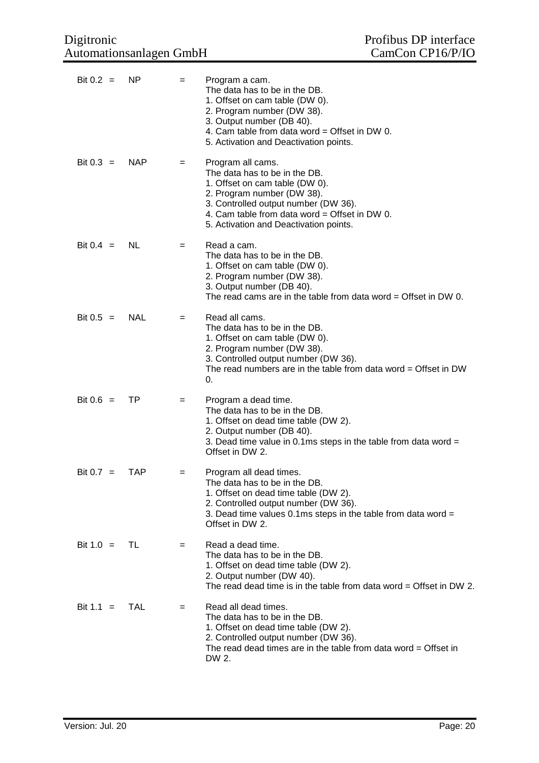| Bit $0.2 =$ | <b>NP</b>  | $=$ | Program a cam.<br>The data has to be in the DB.<br>1. Offset on cam table (DW 0).<br>2. Program number (DW 38).<br>3. Output number (DB 40).<br>4. Cam table from data word = Offset in DW 0.<br>5. Activation and Deactivation points.               |
|-------------|------------|-----|-------------------------------------------------------------------------------------------------------------------------------------------------------------------------------------------------------------------------------------------------------|
| Bit $0.3 =$ | <b>NAP</b> | $=$ | Program all cams.<br>The data has to be in the DB.<br>1. Offset on cam table (DW 0).<br>2. Program number (DW 38).<br>3. Controlled output number (DW 36).<br>4. Cam table from data word = Offset in DW 0.<br>5. Activation and Deactivation points. |
| Bit $0.4 =$ | NL.        | $=$ | Read a cam.<br>The data has to be in the DB.<br>1. Offset on cam table (DW 0).<br>2. Program number (DW 38).<br>3. Output number (DB 40).<br>The read cams are in the table from data word $=$ Offset in DW 0.                                        |
| Bit $0.5 =$ | NAL        | $=$ | Read all cams.<br>The data has to be in the DB.<br>1. Offset on cam table (DW 0).<br>2. Program number (DW 38).<br>3. Controlled output number (DW 36).<br>The read numbers are in the table from data word = Offset in DW<br>0.                      |
| Bit $0.6 =$ | TP.        | $=$ | Program a dead time.<br>The data has to be in the DB.<br>1. Offset on dead time table (DW 2).<br>2. Output number (DB 40).<br>3. Dead time value in 0.1ms steps in the table from data word $=$<br>Offset in DW 2.                                    |
| Bit $0.7 =$ | <b>TAP</b> | =   | Program all dead times<br>The data has to be in the DB.<br>1. Offset on dead time table (DW 2).<br>2. Controlled output number (DW 36).<br>3. Dead time values 0.1 ms steps in the table from data word $=$<br>Offset in DW 2.                        |
| Bit $1.0 =$ | TL.        | $=$ | Read a dead time.<br>The data has to be in the DB.<br>1. Offset on dead time table (DW 2).<br>2. Output number (DW 40).<br>The read dead time is in the table from data word $=$ Offset in DW 2.                                                      |
| Bit $1.1 =$ | <b>TAL</b> | $=$ | Read all dead times.<br>The data has to be in the DB.<br>1. Offset on dead time table (DW 2).<br>2. Controlled output number (DW 36).<br>The read dead times are in the table from data word $=$ Offset in<br>DW 2.                                   |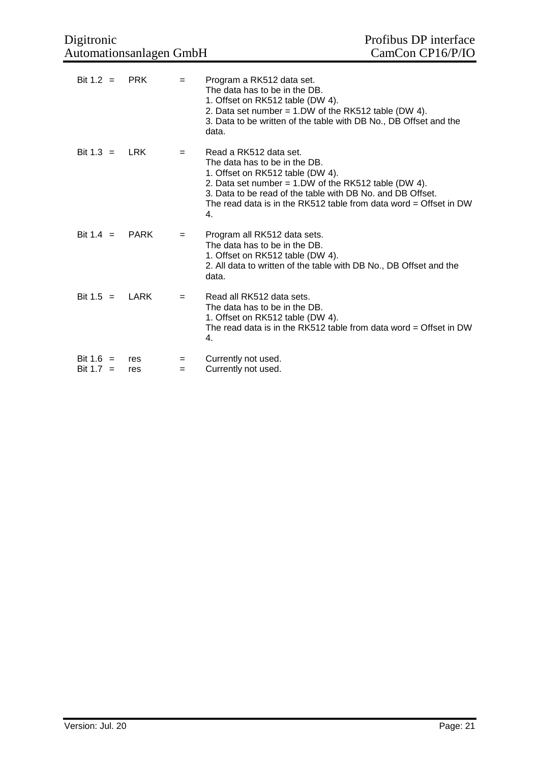| Bit $1.2 =$    | <b>PRK</b>  | $=$ | Program a RK512 data set.<br>The data has to be in the DB.<br>1. Offset on RK512 table (DW 4).<br>2. Data set number = $1.DW$ of the RK512 table (DW 4).<br>3. Data to be written of the table with DB No., DB Offset and the<br>data.                                                         |
|----------------|-------------|-----|------------------------------------------------------------------------------------------------------------------------------------------------------------------------------------------------------------------------------------------------------------------------------------------------|
| Bit 1.3 $=$    | <b>LRK</b>  | $=$ | Read a RK512 data set.<br>The data has to be in the DB.<br>1. Offset on RK512 table (DW 4).<br>2. Data set number = $1.DW$ of the RK512 table (DW 4).<br>3. Data to be read of the table with DB No. and DB Offset.<br>The read data is in the RK512 table from data word = Offset in DW<br>4. |
| Bit $1.4 =$    | <b>PARK</b> | $=$ | Program all RK512 data sets.<br>The data has to be in the DB.<br>1. Offset on RK512 table (DW 4).<br>2. All data to written of the table with DB No., DB Offset and the<br>data.                                                                                                               |
| Bit $1.5 =$    | LARK        | $=$ | Read all RK512 data sets.<br>The data has to be in the DB.<br>1. Offset on RK512 table (DW 4).<br>The read data is in the RK512 table from data word = Offset in DW<br>4.                                                                                                                      |
| Bit 1.6 $=$    | res         | $=$ | Currently not used.                                                                                                                                                                                                                                                                            |
| Bit 1.7<br>$=$ | res         | =   | Currently not used.                                                                                                                                                                                                                                                                            |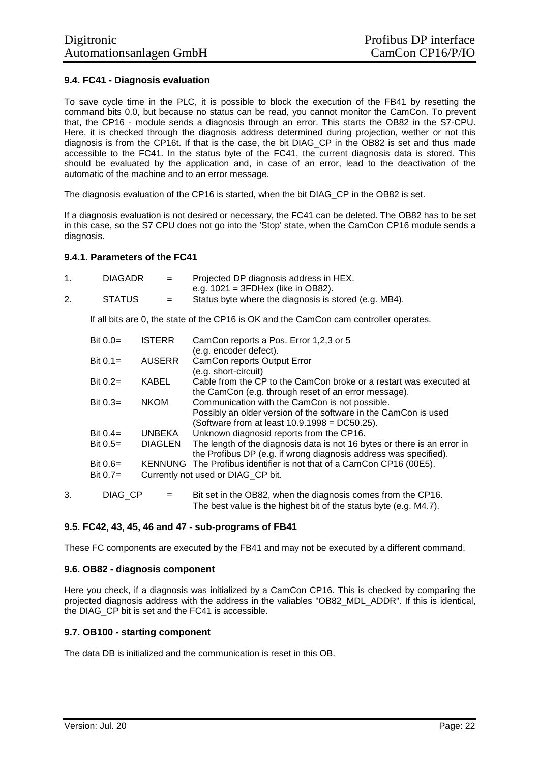# **9.4. FC41 - Diagnosis evaluation**

To save cycle time in the PLC, it is possible to block the execution of the FB41 by resetting the command bits 0.0, but because no status can be read, you cannot monitor the CamCon. To prevent that, the CP16 - module sends a diagnosis through an error. This starts the OB82 in the S7-CPU. Here, it is checked through the diagnosis address determined during projection, wether or not this diagnosis is from the CP16t. If that is the case, the bit DIAG\_CP in the OB82 is set and thus made accessible to the FC41. In the status byte of the FC41, the current diagnosis data is stored. This should be evaluated by the application and, in case of an error, lead to the deactivation of the automatic of the machine and to an error message.

The diagnosis evaluation of the CP16 is started, when the bit DIAG\_CP in the OB82 is set.

If a diagnosis evaluation is not desired or necessary, the FC41 can be deleted. The OB82 has to be set in this case, so the S7 CPU does not go into the 'Stop' state, when the CamCon CP16 module sends a diagnosis.

#### **9.4.1. Parameters of the FC41**

|    | <b>DIAGADR</b> | $=$ | Projected DP diagnosis address in HEX.                |
|----|----------------|-----|-------------------------------------------------------|
|    |                |     | e.g. $1021 = 3FD$ Hex (like in OB82).                 |
| 2. | <b>STATUS</b>  | $=$ | Status byte where the diagnosis is stored (e.g. MB4). |

If all bits are 0, the state of the CP16 is OK and the CamCon cam controller operates.

| Bit $0.0=$  | <b>ISTERR</b>  | CamCon reports a Pos. Error 1,2,3 or 5<br>(e.g. encoder defect).                                                 |
|-------------|----------------|------------------------------------------------------------------------------------------------------------------|
| Bit $0.1 =$ | <b>AUSERR</b>  | CamCon reports Output Error                                                                                      |
| Bit $0.2=$  | <b>KABEL</b>   | (e.g. short-circuit)<br>Cable from the CP to the CamCon broke or a restart was executed at                       |
| Bit $0.3=$  | <b>NKOM</b>    | the CamCon (e.g. through reset of an error message).<br>Communication with the CamCon is not possible.           |
|             |                | Possibly an older version of the software in the CamCon is used<br>(Software from at least 10.9.1998 = DC50.25). |
| Bit $0.4=$  | <b>UNBEKA</b>  | Unknown diagnosid reports from the CP16.                                                                         |
| Bit $0.5=$  | <b>DIAGLEN</b> | The length of the diagnosis data is not 16 bytes or there is an error in                                         |
|             |                | the Profibus DP (e.g. if wrong diagnosis address was specified).                                                 |
| Bit $0.6=$  |                | KENNUNG The Profibus identifier is not that of a CamCon CP16 (00E5).                                             |
| Bit $0.7=$  |                | Currently not used or DIAG CP bit.                                                                               |
|             |                |                                                                                                                  |

3. DIAG\_CP = Bit set in the OB82, when the diagnosis comes from the CP16. The best value is the highest bit of the status byte (e.g. M4.7).

#### **9.5. FC42, 43, 45, 46 and 47 - sub-programs of FB41**

These FC components are executed by the FB41 and may not be executed by a different command.

#### **9.6. OB82 - diagnosis component**

Here you check, if a diagnosis was initialized by a CamCon CP16. This is checked by comparing the projected diagnosis address with the address in the valiables "OB82\_MDL\_ADDR". If this is identical, the DIAG\_CP bit is set and the FC41 is accessible.

#### **9.7. OB100 - starting component**

The data DB is initialized and the communication is reset in this OB.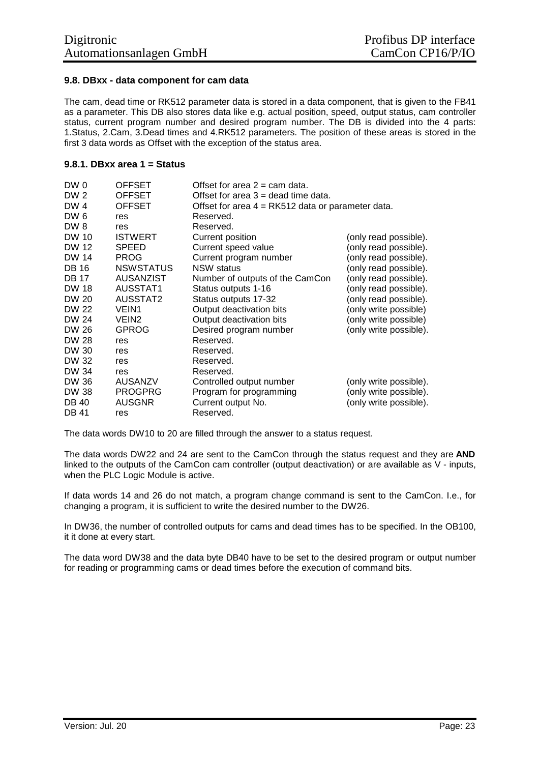#### **9.8. DBxx - data component for cam data**

The cam, dead time or RK512 parameter data is stored in a data component, that is given to the FB41 as a parameter. This DB also stores data like e.g. actual position, speed, output status, cam controller status, current program number and desired program number. The DB is divided into the 4 parts: 1.Status, 2.Cam, 3.Dead times and 4.RK512 parameters. The position of these areas is stored in the first 3 data words as Offset with the exception of the status area.

#### **9.8.1. DBxx area 1 = Status**

| DW0             | OFFSET            | Offset for area $2 = \text{cam data}$ .             |                        |
|-----------------|-------------------|-----------------------------------------------------|------------------------|
| DW <sub>2</sub> | OFFSET            | Offset for area $3 =$ dead time data.               |                        |
| DW4             | <b>OFFSET</b>     | Offset for area $4 = RK512$ data or parameter data. |                        |
| DW <sub>6</sub> | res               | Reserved.                                           |                        |
| DW 8            | res               | Reserved.                                           |                        |
| <b>DW 10</b>    | <b>ISTWERT</b>    | Current position                                    | (only read possible).  |
| DW 12           | <b>SPEED</b>      | Current speed value                                 | (only read possible).  |
| <b>DW 14</b>    | <b>PROG</b>       | Current program number                              | (only read possible).  |
| <b>DB</b> 16    | <b>NSWSTATUS</b>  | <b>NSW</b> status                                   | (only read possible).  |
| <b>DB 17</b>    | <b>AUSANZIST</b>  | Number of outputs of the CamCon                     | (only read possible).  |
| <b>DW 18</b>    | <b>AUSSTAT1</b>   | Status outputs 1-16                                 | (only read possible).  |
| <b>DW 20</b>    | AUSSTAT2          | Status outputs 17-32                                | only read possible).   |
| DW 22           | VEIN1             | Output deactivation bits                            | (only write possible)  |
| DW 24           | VEIN <sub>2</sub> | Output deactivation bits                            | (only write possible)  |
| DW 26           | <b>GPROG</b>      | Desired program number                              | (only write possible). |
| DW 28           | res               | Reserved.                                           |                        |
| DW 30           | res               | Reserved.                                           |                        |
| DW 32           | res               | Reserved.                                           |                        |
| DW 34           | res               | Reserved.                                           |                        |
| DW 36           | <b>AUSANZV</b>    | Controlled output number                            | (only write possible). |
| <b>DW 38</b>    | <b>PROGPRG</b>    | Program for programming                             | (only write possible). |
| <b>DB 40</b>    | AUSGNR            | Current output No.                                  | (only write possible). |
| <b>DB 41</b>    | res               | Reserved.                                           |                        |

The data words DW10 to 20 are filled through the answer to a status request.

The data words DW22 and 24 are sent to the CamCon through the status request and they are **AND** linked to the outputs of the CamCon cam controller (output deactivation) or are available as V - inputs, when the PLC Logic Module is active.

If data words 14 and 26 do not match, a program change command is sent to the CamCon. I.e., for changing a program, it is sufficient to write the desired number to the DW26.

In DW36, the number of controlled outputs for cams and dead times has to be specified. In the OB100, it it done at every start.

The data word DW38 and the data byte DB40 have to be set to the desired program or output number for reading or programming cams or dead times before the execution of command bits.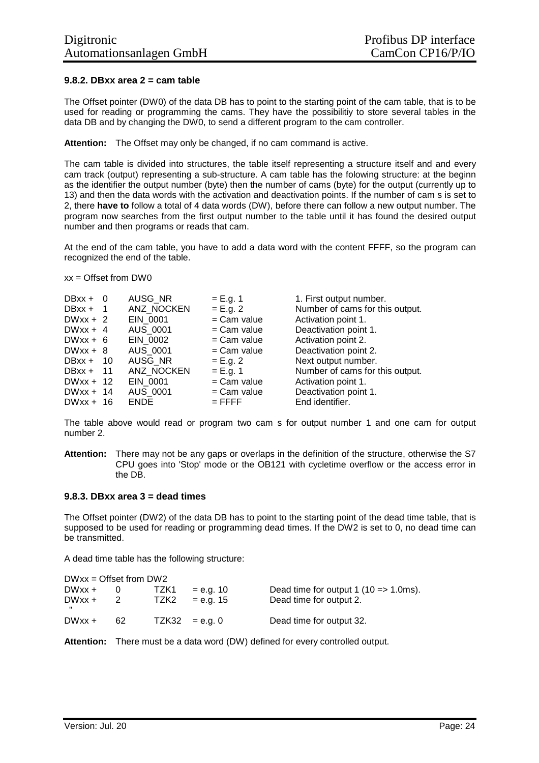# **9.8.2. DBxx area 2 = cam table**

The Offset pointer (DW0) of the data DB has to point to the starting point of the cam table, that is to be used for reading or programming the cams. They have the possibilitiy to store several tables in the data DB and by changing the DW0, to send a different program to the cam controller.

**Attention:** The Offset may only be changed, if no cam command is active.

The cam table is divided into structures, the table itself representing a structure itself and and every cam track (output) representing a sub-structure. A cam table has the folowing structure: at the beginn as the identifier the output number (byte) then the number of cams (byte) for the output (currently up to 13) and then the data words with the activation and deactivation points. If the number of cam s is set to 2, there **have to** follow a total of 4 data words (DW), before there can follow a new output number. The program now searches from the first output number to the table until it has found the desired output number and then programs or reads that cam.

At the end of the cam table, you have to add a data word with the content FFFF, so the program can recognized the end of the table.

xx = Offset from DW0

| $DBxx + 0$  |      | AUSG NR     | $= E.g. 1$    | 1. First output number.         |
|-------------|------|-------------|---------------|---------------------------------|
| $DBxx + 1$  |      | ANZ NOCKEN  | $= E.g. 2$    | Number of cams for this output. |
| $DWxx + 2$  |      | EIN 0001    | $=$ Cam value | Activation point 1.             |
| $DWxx + 4$  |      | AUS 0001    | $=$ Cam value | Deactivation point 1.           |
| $DWxx + 6$  |      | EIN 0002    | $=$ Cam value | Activation point 2.             |
| $DWxx + 8$  |      | AUS 0001    | $=$ Cam value | Deactivation point 2.           |
| DBxx +      | - 10 | AUSG NR     | $= E.g. 2$    | Next output number.             |
| $DBxx + 11$ |      | ANZ NOCKEN  | $= E.g. 1$    | Number of cams for this output. |
| $DWxx + 12$ |      | EIN 0001    | $=$ Cam value | Activation point 1.             |
| $DWxx + 14$ |      | AUS 0001    | $=$ Cam value | Deactivation point 1.           |
| $DWxx + 16$ |      | <b>ENDE</b> | $=$ FFFF      | End identifier.                 |

The table above would read or program two cam s for output number 1 and one cam for output number 2.

**Attention:** There may not be any gaps or overlaps in the definition of the structure, otherwise the S7 CPU goes into 'Stop' mode or the OB121 with cycletime overflow or the access error in the DB.

#### **9.8.3. DBxx area 3 = dead times**

The Offset pointer (DW2) of the data DB has to point to the starting point of the dead time table, that is supposed to be used for reading or programming dead times. If the DW2 is set to 0, no dead time can be transmitted.

A dead time table has the following structure:

| $DWxx =$ Offset from DW2 |    |                 |             |                                                     |
|--------------------------|----|-----------------|-------------|-----------------------------------------------------|
| $DWxx +$                 |    | TZK1            | $=$ e.g. 10 | Dead time for output 1 $(10 \le x 1.0 \text{ms})$ . |
| $DWxx +$<br>$\mathbf{u}$ |    | TZK2            | $= e.a. 15$ | Dead time for output 2.                             |
| $DWxx +$                 | 62 | $TZK32 = e.a.0$ |             | Dead time for output 32.                            |

**Attention:** There must be a data word (DW) defined for every controlled output.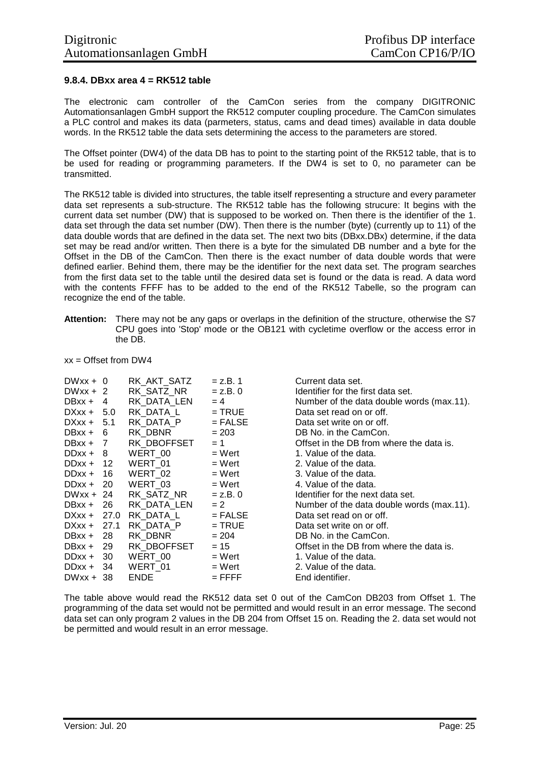#### **9.8.4. DBxx area 4 = RK512 table**

The electronic cam controller of the CamCon series from the company DIGITRONIC Automationsanlagen GmbH support the RK512 computer coupling procedure. The CamCon simulates a PLC control and makes its data (parmeters, status, cams and dead times) available in data double words. In the RK512 table the data sets determining the access to the parameters are stored.

The Offset pointer (DW4) of the data DB has to point to the starting point of the RK512 table, that is to be used for reading or programming parameters. If the DW4 is set to 0, no parameter can be transmitted.

The RK512 table is divided into structures, the table itself representing a structure and every parameter data set represents a sub-structure. The RK512 table has the following strucure: It begins with the current data set number (DW) that is supposed to be worked on. Then there is the identifier of the 1. data set through the data set number (DW). Then there is the number (byte) (currently up to 11) of the data double words that are defined in the data set. The next two bits (DBxx.DBx) determine, if the data set may be read and/or written. Then there is a byte for the simulated DB number and a byte for the Offset in the DB of the CamCon. Then there is the exact number of data double words that were defined earlier. Behind them, there may be the identifier for the next data set. The program searches from the first data set to the table until the desired data set is found or the data is read. A data word with the contents FFFF has to be added to the end of the RK512 Tabelle, so the program can recognize the end of the table.

**Attention:** There may not be any gaps or overlaps in the definition of the structure, otherwise the S7 CPU goes into 'Stop' mode or the OB121 with cycletime overflow or the access error in the DB.

 $xx =$  Offset from DW4

| $DWxx + 0$   |                | RK AKT_SATZ | $= z.B. 1$ | Current data set.                         |
|--------------|----------------|-------------|------------|-------------------------------------------|
| $DWxx + 2$   |                | RK SATZ NR  | $= z.B. 0$ | Identifier for the first data set.        |
| $DBxx +$     | 4              | RK DATA LEN | $= 4$      | Number of the data double words (max.11). |
| $DXxx +$     | -5.0           | RK DATA L   | $=$ TRUE   | Data set read on or off.                  |
| $DXxx + 5.1$ |                | RK DATA P   | $=$ FALSE  | Data set write on or off.                 |
| DBxx +       | - 6            | RK DBNR     | $= 203$    | DB No. in the CamCon.                     |
| $DBxx +$     | $\overline{7}$ | RK DBOFFSET | $= 1$      | Offset in the DB from where the data is.  |
| $DDxx + 8$   |                | WERT 00     | $=$ Wert   | 1. Value of the data.                     |
| $DDxx +$     | 12             | WERT 01     | $=$ Wert   | 2. Value of the data.                     |
| $DDxx +$     | -16            | WERT 02     | $=$ Wert   | 3. Value of the data.                     |
| $DDxx +$     | -20            | WERT 03     | $=$ Wert   | 4. Value of the data.                     |
| $DWxx + 24$  |                | RK SATZ NR  | $= z.B. 0$ | Identifier for the next data set.         |
| DBxx +       | 26             | RK DATA LEN | $= 2$      | Number of the data double words (max.11). |
| $DXxx +$     | 27.0           | RK DATA L   | $=$ FALSE  | Data set read on or off.                  |
| $DXxx +$     | 27.1           | RK DATA P   | $=$ TRUE   | Data set write on or off.                 |
| $DBxx +$     | 28             | RK DBNR     | $= 204$    | DB No. in the CamCon.                     |
| DBxx +       | -29            | RK DBOFFSET | $= 15$     | Offset in the DB from where the data is.  |
| $DDxx +$     | 30             | WERT 00     | = Wert     | 1. Value of the data.                     |
| DDxx +       | - 34           | WERT_01     | $=$ Wert   | 2. Value of the data.                     |
| $DWxx + 38$  |                | <b>ENDE</b> | $=$ FFFF   | End identifier.                           |

The table above would read the RK512 data set 0 out of the CamCon DB203 from Offset 1. The programming of the data set would not be permitted and would result in an error message. The second data set can only program 2 values in the DB 204 from Offset 15 on. Reading the 2. data set would not be permitted and would result in an error message.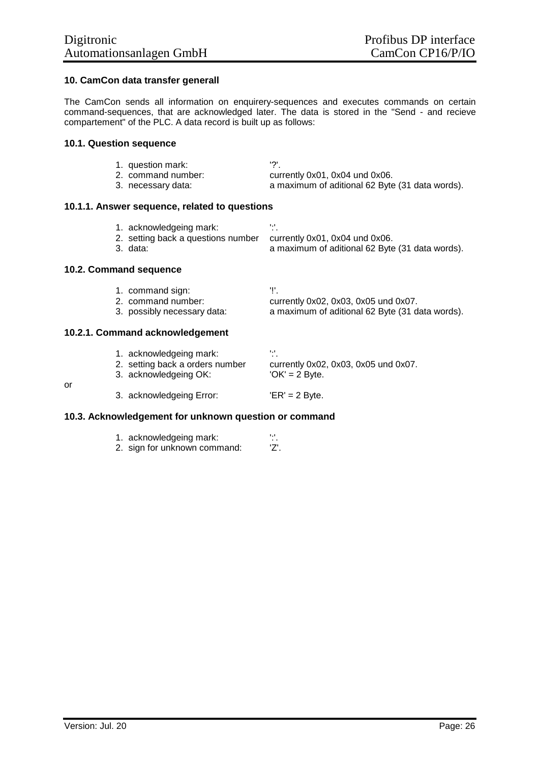# **10. CamCon data transfer generall**

The CamCon sends all information on enquirery-sequences and executes commands on certain command-sequences, that are acknowledged later. The data is stored in the "Send - and recieve compartement" of the PLC. A data record is built up as follows:

#### **10.1. Question sequence**

| 1. question mark:  | י?'                                             |
|--------------------|-------------------------------------------------|
| 2. command number: | currently 0x01, 0x04 und 0x06.                  |
| 3. necessary data: | a maximum of aditional 62 Byte (31 data words). |

#### **10.1.1. Answer sequence, related to questions**

| 1. acknowledgeing mark:            |                                                 |
|------------------------------------|-------------------------------------------------|
|                                    | . .                                             |
| 2. setting back a questions number | currently 0x01, 0x04 und 0x06.                  |
| 3. data:                           | a maximum of aditional 62 Byte (31 data words). |

#### **10.2. Command sequence**

or

| 1. command sign:   |                             |                                                 |
|--------------------|-----------------------------|-------------------------------------------------|
| 2. command number: |                             | currently 0x02, 0x03, 0x05 und 0x07.            |
|                    | 3. possibly necessary data: | a maximum of aditional 62 Byte (31 data words). |
|                    |                             |                                                 |

# **10.2.1. Command acknowledgement**

| 1. acknowledgeing mark:<br>2. setting back a orders number<br>3. acknowledgeing OK: | ۰.,<br>. .<br>currently 0x02, 0x03, 0x05 und 0x07.<br>$'OK' = 2$ Byte. |
|-------------------------------------------------------------------------------------|------------------------------------------------------------------------|
| 3. acknowledgeing Error:                                                            | $'ER' = 2 B$ yte.                                                      |

# **10.3. Acknowledgement for unknown question or command**

| 1. acknowledgeing mark:      | <br>. . |
|------------------------------|---------|
| 2. sign for unknown command: | 'Z'.    |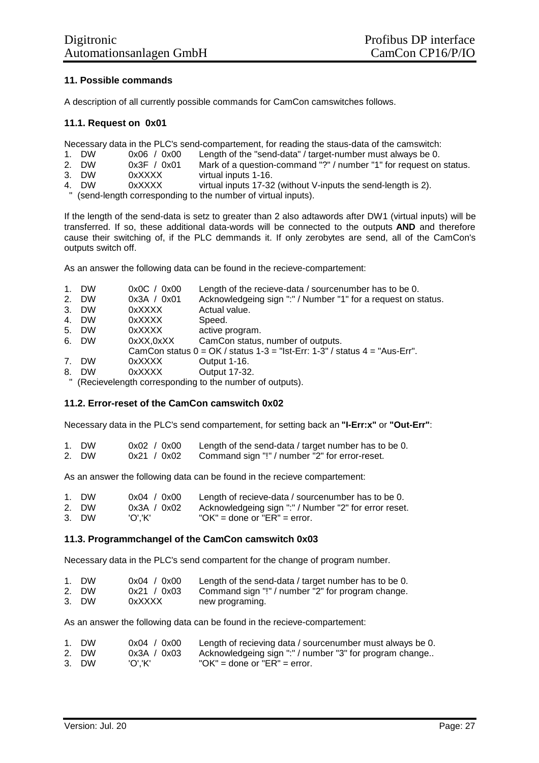# **11. Possible commands**

A description of all currently possible commands for CamCon camswitches follows.

#### **11.1. Request on 0x01**

Necessary data in the PLC's send-compartement, for reading the staus-data of the camswitch:<br>1. DW 0x06 / 0x00 Length of the "send-data" / target-number must always be 0.

- 1. DW 0x06 / 0x00 Length of the "send-data" / target-number must always be 0.<br>2. DW 0x3F / 0x01 Mark of a question-command "?" / number "1" for request on
- 2. DW 0x3F / 0x01 Mark of a question-command "?" / number "1" for request on status.<br>3. DW 0xXXXX virtual inputs 1-16.
- 3. DW 0xXXXX virtual inputs 1-16.<br>4. DW 0xXXXX virtual inputs 17-32
- $0xXXX$  virtual inputs 17-32 (without V-inputs the send-length is 2).

" (send-length corresponding to the number of virtual inputs).

If the length of the send-data is setz to greater than 2 also adtawords after DW1 (virtual inputs) will be transferred. If so, these additional data-words will be connected to the outputs **AND** and therefore cause their switching of, if the PLC demmands it. If only zerobytes are send, all of the CamCon's outputs switch off.

As an answer the following data can be found in the recieve-compartement:

|    | 1. DW | 0x0C / 0x00 | Length of the recieve-data / sourcenumber has to be 0.                           |
|----|-------|-------------|----------------------------------------------------------------------------------|
|    | 2. DW | 0x3A / 0x01 | Acknowledgeing sign ":" / Number "1" for a request on status.                    |
|    | 3. DW | 0xXXXX      | Actual value.                                                                    |
|    | 4. DW | 0xXXXX      | Speed.                                                                           |
|    | 5. DW | 0xXXXX      | active program.                                                                  |
|    | 6. DW | 0xXX,0xXX   | CamCon status, number of outputs.                                                |
|    |       |             | CamCon status $0 = OK /$ status $1-3 = "lst-Err: 1-3" /$ status $4 = "Aus-Err".$ |
| 7. | DW    | 0xXXXX      | Output 1-16.                                                                     |
| 8. | DW    | 0xXXXX      | Output 17-32.                                                                    |
|    |       |             | " (Recievelength corresponding to the number of outputs).                        |

#### **11.2. Error-reset of the CamCon camswitch 0x02**

Necessary data in the PLC's send compartement, for setting back an **"I-Err:x"** or **"Out-Err"**:

| 1. DW             | 0x02 / 0x00       | Length of the send-data / target number has to be 0.      |
|-------------------|-------------------|-----------------------------------------------------------|
| $\Omega$ $\Gamma$ | $0.001 \pm 0.000$ | Companied plays IIII / in up be a IIOII for a sear search |

2. DW 0x21 / 0x02 Command sign "!" / number "2" for error-reset.

As an answer the following data can be found in the recieve compartement:

| 1. DW | 0x04 / 0x00 | Length of recieve-data / sourcenumber has to be 0.    |
|-------|-------------|-------------------------------------------------------|
| 2. DW | 0x3A / 0x02 | Acknowledgeing sign ":" / Number "2" for error reset. |
| 3. DW | 'O'.'K'     | "OK" = done or "ER" = error.                          |

#### **11.3. Programmchangel of the CamCon camswitch 0x03**

Necessary data in the PLC's send compartent for the change of program number.

| 1. DW | 0x04 / 0x00 | Length of the send-data / target number has to be 0. |
|-------|-------------|------------------------------------------------------|
| 2. DW | 0x21 / 0x03 | Command sign "!" / number "2" for program change.    |
| 3. DW | 0xXXXX      | new programing.                                      |

As an answer the following data can be found in the recieve-compartement:

| 1. DW | 0x04 / 0x00 | Length of recieving data / sourcenumber must always be 0. |
|-------|-------------|-----------------------------------------------------------|
| 2. DW | 0x3A / 0x03 | Acknowledgeing sign ":" / number "3" for program change   |
| 3. DW | 'O'.'K'     | "OK" = done or "ER" = error.                              |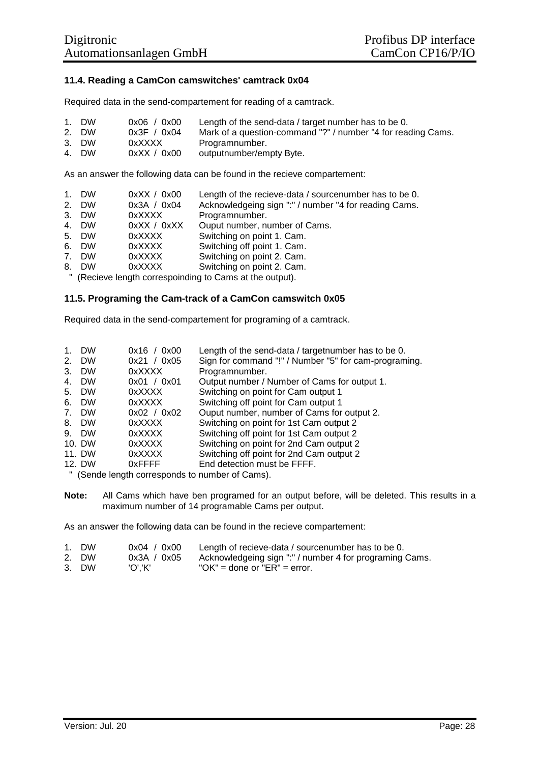#### **11.4. Reading a CamCon camswitches' camtrack 0x04**

Required data in the send-compartement for reading of a camtrack.

| 1. DW | 0x06 / 0x00 | Length of the send-data / target number has to be 0.         |
|-------|-------------|--------------------------------------------------------------|
| 2. DW | 0x3F / 0x04 | Mark of a question-command "?" / number "4 for reading Cams. |
| 3. DW | 0xXXXX      | Programnumber.                                               |

| 4. DW | 0xXX / 0x00 | outputnumber/empty Byte. |
|-------|-------------|--------------------------|

As an answer the following data can be found in the recieve compartement:

| 1. DW | 0xXX / 0x00 | Length of the recieve-data / sourcenumber has to be 0. |
|-------|-------------|--------------------------------------------------------|
| 2. DW | 0x3A / 0x04 | Acknowledgeing sign ":" / number "4 for reading Cams.  |
| 3. DW | 0xXXXX      | Programnumber.                                         |
| 4. DW | 0xXX / 0xXX | Ouput number, number of Cams.                          |
| 5. DW | 0xXXXX      | Switching on point 1. Cam.                             |
| 6. DW | 0xXXXX      | Switching off point 1. Cam.                            |
| 7. DW | 0xXXXX      | Switching on point 2. Cam.                             |
| 8. DW | 0xXXXX      | Switching on point 2. Cam.                             |

" (Recieve length correspoinding to Cams at the output).

#### **11.5. Programing the Cam-track of a CamCon camswitch 0x05**

Required data in the send-compartement for programing of a camtrack.

| $1_{-}$                        | <b>DW</b> | 0x16 / 0x00 | Length of the send-data / target number has to be 0.                                      |
|--------------------------------|-----------|-------------|-------------------------------------------------------------------------------------------|
|                                | 2. DW     | 0x21 / 0x05 | Sign for command "!" / Number "5" for cam-programing.                                     |
| 3.                             | <b>DW</b> | 0xXXXX      | Programnumber.                                                                            |
| 4.                             | <b>DW</b> | 0x01 / 0x01 | Output number / Number of Cams for output 1.                                              |
| 5.                             | DW.       | 0xXXXX      | Switching on point for Cam output 1                                                       |
| 6.                             | <b>DW</b> | 0xXXXX      | Switching off point for Cam output 1                                                      |
| $7_{\scriptscriptstyle{\sim}}$ | DW.       | 0x02 / 0x02 | Ouput number, number of Cams for output 2.                                                |
| 8.                             | DW        | 0xXXXX      | Switching on point for 1st Cam output 2                                                   |
|                                | 9. DW     | 0xXXXX      | Switching off point for 1st Cam output 2                                                  |
|                                | 10. DW    | 0xXXXX      | Switching on point for 2nd Cam output 2                                                   |
|                                | 11. DW    | 0xXXXX      | Switching off point for 2nd Cam output 2                                                  |
|                                | 12. DW    | 0xFFFF      | End detection must be FFFF.                                                               |
|                                |           |             | $\mathbb{R}$ . (O can delivered by convenience delivered by a set $O_{\text{max}}(\cdot)$ |

(Sende length corresponds to number of Cams).

**Note:** All Cams which have ben programed for an output before, will be deleted. This results in a maximum number of 14 programable Cams per output.

As an answer the following data can be found in the recieve compartement:

| 1. DW | 0x04 / 0x00 | Length of recieve-data / sourcenumber has to be 0.      |
|-------|-------------|---------------------------------------------------------|
| 2. DW | 0x3A / 0x05 | Acknowledgeing sign ":" / number 4 for programing Cams. |
| 3. DW | 'O'.'K'     | "OK" = done or "ER" = error.                            |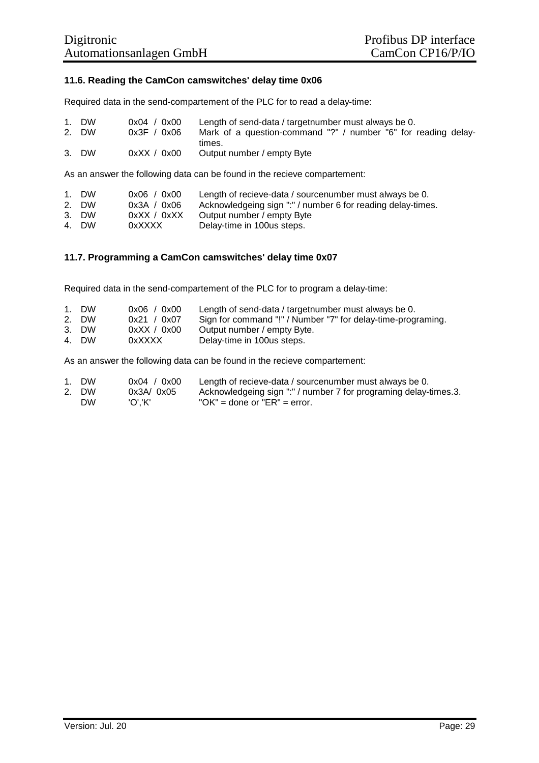# **11.6. Reading the CamCon camswitches' delay time 0x06**

Required data in the send-compartement of the PLC for to read a delay-time:

| 1. DW | 0x04 / 0x00 | Length of send-data / targetnumber must always be 0.           |
|-------|-------------|----------------------------------------------------------------|
| 2. DW | 0x3F / 0x06 | Mark of a question-command "?" / number "6" for reading delay- |
|       |             | times.                                                         |
| 3. DW | 0xXX / 0x00 | Output number / empty Byte                                     |

As an answer the following data can be found in the recieve compartement:

| 1. DW | 0x06 / 0x00 | Length of recieve-data / sourcenumber must always be 0.     |
|-------|-------------|-------------------------------------------------------------|
| 2. DW | 0x3A / 0x06 | Acknowledgeing sign ":" / number 6 for reading delay-times. |
| 3. DW | 0xXX / 0xXX | Output number / empty Byte                                  |
| 4. DW | 0xXXXX      | Delay-time in 100us steps.                                  |

# **11.7. Programming a CamCon camswitches' delay time 0x07**

Required data in the send-compartement of the PLC for to program a delay-time:

| 1. DW | 0x06 / 0x00 | Length of send-data / target number must always be 0.        |
|-------|-------------|--------------------------------------------------------------|
| 2. DW | 0x21 / 0x07 | Sign for command "!" / Number "7" for delay-time-programing. |
| 3. DW | 0xXX / 0x00 | Output number / empty Byte.                                  |
| 4. DW | 0xXXXX      | Delay-time in 100us steps.                                   |

As an answer the following data can be found in the recieve compartement:

| 1. DW | 0x04 / 0x00 | Length of recieve-data / sourcenumber must always be 0.          |
|-------|-------------|------------------------------------------------------------------|
| 2. DW | 0x3A/0x05   | Acknowledgeing sign ":" / number 7 for programing delay-times.3. |
| DW    | 'O'.'K'     | "OK" = done or "ER" = $error.$                                   |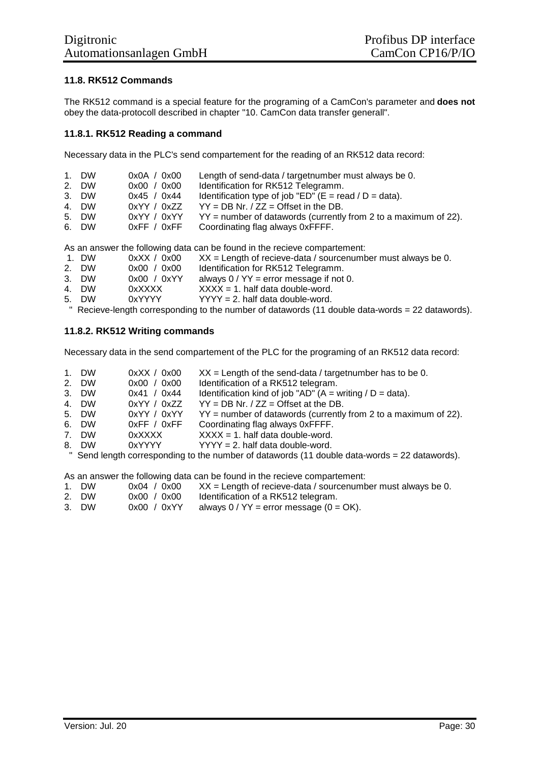# **11.8. RK512 Commands**

The RK512 command is a special feature for the programing of a CamCon's parameter and **does not** obey the data-protocoll described in chapter "10. CamCon data transfer generall".

#### **11.8.1. RK512 Reading a command**

Necessary data in the PLC's send compartement for the reading of an RK512 data record:

| 1. DW<br>2. DW | 0x0A / 0x00<br>0x00 / 0x00 | Length of send-data / targetnumber must always be 0.<br>Identification for RK512 Telegramm. |
|----------------|----------------------------|---------------------------------------------------------------------------------------------|
| 3. DW          | 0x45 / 0x44                | Identification type of job "ED" ( $E = \text{read } / D = \text{data}$ ).                   |
| 4. DW          | 0xYY / 0xZZ                | $YY = DB Nr. / ZZ = Offset in the DB.$                                                      |
| 5. DW          | 0xYY / 0xYY                | $YY =$ number of datawords (currently from 2 to a maximum of 22).                           |
| 6. DW          | 0xFF / 0xFF                | Coordinating flag always 0xFFFF.                                                            |

As an answer the following data can be found in the recieve compartement:

- 1. DW  $0xXX / 0x00$   $XX =$  Length of recieve-data / sourcenumber must always be 0.
- 2. DW 0x00 / 0x00 Identification for RK512 Telegramm.<br>3. DW 0x00 / 0xYY always 0 / YY = error message if not
- 3. DW 0x00 / 0xYY always  $0$  / YY = error message if not 0.<br>4. DW 0xXXXX XXXX = 1. half data double-word.
- $0xXXXX$   $XXXX = 1.$  half data double-word.
- 5. DW  $0xYYYY$   $YYYY = 2$ . half data double-word.

Recieve-length corresponding to the number of datawords (11 double data-words = 22 datawords).

# **11.8.2. RK512 Writing commands**

Necessary data in the send compartement of the PLC for the programing of an RK512 data record:

- 1. DW  $0xXX / 0x00$   $XX =$  Length of the send-data / targetnumber has to be 0.<br>2. DW  $0x00 / 0x00$  Identification of a RK512 telegram.
- 2. DW 0x00 / 0x00 Identification of a RK512 telegram.<br>3. DW 0x41 / 0x44 Identification kind of iob "AD" (A = v
- 3. DW 0x41 / 0x44 Identification kind of job "AD" (A = writing / D = data).<br>4. DW 0xYY / 0xZZ YY = DB Nr. / ZZ = Offset at the DB.
- 4. DW 0xYY / 0xZZ YY = DB Nr. / ZZ = Offset at the DB.<br>5. DW 0xYY / 0xYY YY = number of datawords (currently
- $0xYY / 0xYY$  YY = number of datawords (currently from 2 to a maximum of 22).
- 6. DW 0xFF / 0xFF Coordinating flag always 0xFFFF.
- 7. DW  $0xXXXX$   $XXXX = 1$ . half data double-word.
- 8. DW  $0xYYYY$   $YYYY = 2$ , half data double-word.

" Send length corresponding to the number of datawords (11 double data-words = 22 datawords).

#### As an answer the following data can be found in the recieve compartement:

- 1. DW 0x04 / 0x00 XX = Length of recieve-data / sourcenumber must always be 0.
- 2. DW 0x00 / 0x00 Identification of a RK512 telegram.
- 3. DW  $0x00 / 0xYY$  always  $0 / YY$  = error message  $(0 = OK)$ .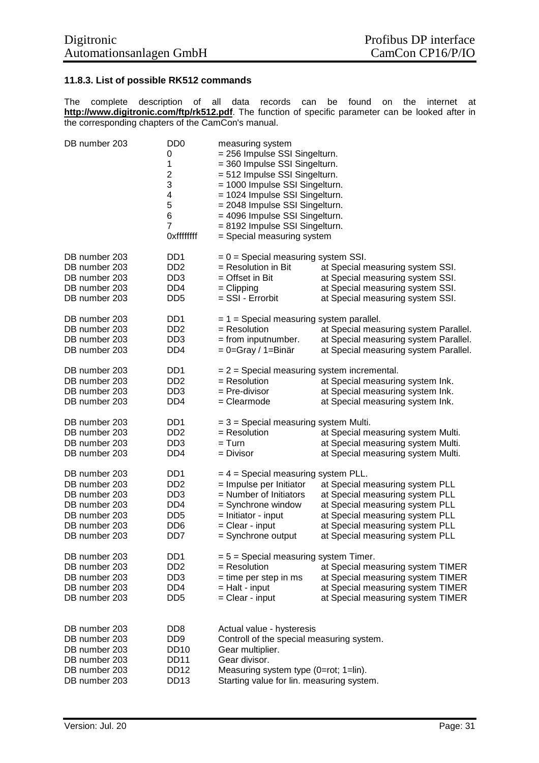# **11.8.3. List of possible RK512 commands**

The complete description of all data records can be found on the internet at **http://www.digitronic.com/ftp/rk512.pdf**. The function of specific parameter can be looked after in the corresponding chapters of the CamCon's manual.

| DB number 203                                                                                                       | D <sub>D</sub> <sub>0</sub><br>0<br>1<br>$\overline{c}$<br>3<br>4<br>5<br>6<br>$\overline{7}$<br>Oxffffffff                        | measuring system<br>= 256 Impulse SSI Singelturn.<br>= 360 Impulse SSI Singelturn.<br>= 512 Impulse SSI Singelturn.<br>= 1000 Impulse SSI Singelturn.<br>= 1024 Impulse SSI Singelturn.<br>= 2048 Impulse SSI Singelturn.<br>= 4096 Impulse SSI Singelturn.<br>= 8192 Impulse SSI Singelturn.<br>= Special measuring system |                                                                                                                                                                                                                |
|---------------------------------------------------------------------------------------------------------------------|------------------------------------------------------------------------------------------------------------------------------------|-----------------------------------------------------------------------------------------------------------------------------------------------------------------------------------------------------------------------------------------------------------------------------------------------------------------------------|----------------------------------------------------------------------------------------------------------------------------------------------------------------------------------------------------------------|
| DB number 203<br>DB number 203<br>DB number 203<br>DB number 203<br>DB number 203                                   | DD <sub>1</sub><br>D <sub>D</sub> <sub>2</sub><br>D <sub>D</sub> 3<br>D <sub>D</sub> 4<br>D <sub>D5</sub>                          | $= 0$ = Special measuring system SSI.<br>= Resolution in Bit<br>= Offset in Bit<br>$=$ Clipping<br>= SSI - Errorbit                                                                                                                                                                                                         | at Special measuring system SSI.<br>at Special measuring system SSI.<br>at Special measuring system SSI.<br>at Special measuring system SSI.                                                                   |
| DB number 203<br>DB number 203<br>DB number 203<br>DB number 203                                                    | DD <sub>1</sub><br>D <sub>D</sub> <sub>2</sub><br>D <sub>D</sub> 3<br>D <sub>D</sub> 4                                             | $= 1$ = Special measuring system parallel.<br>$=$ Resolution<br>$=$ from inputnumber.<br>$= 0$ =Gray / 1=Binär                                                                                                                                                                                                              | at Special measuring system Parallel.<br>at Special measuring system Parallel.<br>at Special measuring system Parallel.                                                                                        |
| DB number 203<br>DB number 203<br>DB number 203<br>DB number 203                                                    | D <sub>D</sub> 1<br>D <sub>D</sub> <sub>2</sub><br>D <sub>D</sub> 3<br>D <sub>D</sub> 4                                            | $= 2$ = Special measuring system incremental.<br>$=$ Resolution<br>$=$ Pre-divisor<br>= Clearmode                                                                                                                                                                                                                           | at Special measuring system Ink.<br>at Special measuring system Ink.<br>at Special measuring system Ink.                                                                                                       |
| DB number 203<br>DB number 203<br>DB number 203<br>DB number 203                                                    | DD <sub>1</sub><br>DD <sub>2</sub><br>D <sub>D</sub> 3<br>D <sub>D</sub> 4                                                         | $= 3$ = Special measuring system Multi.<br>= Resolution<br>$= Turn$<br>$=$ Divisor                                                                                                                                                                                                                                          | at Special measuring system Multi.<br>at Special measuring system Multi.<br>at Special measuring system Multi.                                                                                                 |
| DB number 203<br>DB number 203<br>DB number 203<br>DB number 203<br>DB number 203<br>DB number 203<br>DB number 203 | DD1<br>DD <sub>2</sub><br>D <sub>D</sub> 3<br>D <sub>D</sub> 4<br>D <sub>D</sub><br>D <sub>D</sub> <sub>6</sub><br>DD <sub>7</sub> | $= 4$ = Special measuring system PLL.<br>$=$ Impulse per Initiator<br>$=$ Number of Initiators<br>$=$ Synchrone window<br>= Initiator - input<br>$=$ Clear - input<br>$=$ Synchrone output                                                                                                                                  | at Special measuring system PLL<br>at Special measuring system PLL<br>at Special measuring system PLL<br>at Special measuring system PLL<br>at Special measuring system PLL<br>at Special measuring system PLL |
| DB number 203<br>DB number 203<br>DB number 203<br>DB number 203<br>DB number 203                                   | DD <sub>1</sub><br>DD <sub>2</sub><br>DD <sub>3</sub><br>DD <sub>4</sub><br>D <sub>D5</sub>                                        | $= 5$ = Special measuring system Timer.<br>$=$ Resolution<br>$=$ time per step in ms<br>$=$ Halt - input<br>$=$ Clear - input                                                                                                                                                                                               | at Special measuring system TIMER<br>at Special measuring system TIMER<br>at Special measuring system TIMER<br>at Special measuring system TIMER                                                               |
| DB number 203<br>DB number 203<br>DB number 203<br>DB number 203<br>DB number 203<br>DB number 203                  | DD <sub>8</sub><br>D <sub>D</sub> <sub>9</sub><br><b>DD10</b><br><b>DD11</b><br>DD <sub>12</sub><br><b>DD13</b>                    | Actual value - hysteresis<br>Controll of the special measuring system.<br>Gear multiplier.<br>Gear divisor.<br>Measuring system type (0=rot; 1=lin).<br>Starting value for lin. measuring system.                                                                                                                           |                                                                                                                                                                                                                |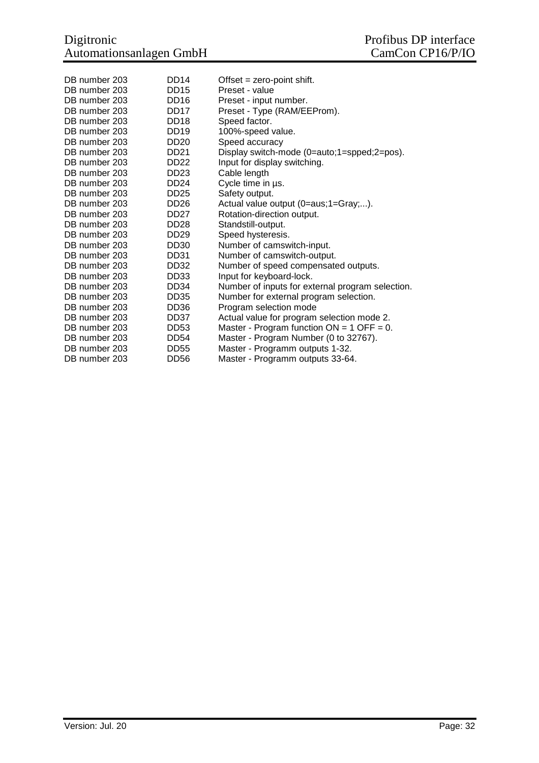| DB number 203 | DD <sub>14</sub> | Offset $=$ zero-point shift.                     |
|---------------|------------------|--------------------------------------------------|
| DB number 203 | <b>DD15</b>      | Preset - value                                   |
| DB number 203 | DD <sub>16</sub> | Preset - input number.                           |
| DB number 203 | DD <sub>17</sub> | Preset - Type (RAM/EEProm).                      |
| DB number 203 | DD <sub>18</sub> | Speed factor.                                    |
| DB number 203 | DD <sub>19</sub> | 100%-speed value.                                |
| DB number 203 | <b>DD20</b>      | Speed accuracy                                   |
| DB number 203 | DD21             | Display switch-mode (0=auto;1=spped;2=pos).      |
| DB number 203 | <b>DD22</b>      | Input for display switching.                     |
| DB number 203 | DD <sub>23</sub> | Cable length                                     |
| DB number 203 | <b>DD24</b>      | Cycle time in us.                                |
| DB number 203 | DD25             | Safety output.                                   |
| DB number 203 | DD <sub>26</sub> | Actual value output (0=aus;1=Gray;).             |
| DB number 203 | DD <sub>27</sub> | Rotation-direction output.                       |
| DB number 203 | DD <sub>28</sub> | Standstill-output.                               |
| DB number 203 | DD <sub>29</sub> | Speed hysteresis.                                |
| DB number 203 | DD <sub>30</sub> | Number of camswitch-input.                       |
| DB number 203 | DD31             | Number of camswitch-output.                      |
| DB number 203 | DD32             | Number of speed compensated outputs.             |
| DB number 203 | DD33             | Input for keyboard-lock.                         |
| DB number 203 | DD34             | Number of inputs for external program selection. |
| DB number 203 | DD <sub>35</sub> | Number for external program selection.           |
| DB number 203 | DD <sub>36</sub> | Program selection mode                           |
| DB number 203 | DD37             | Actual value for program selection mode 2.       |
| DB number 203 | DD <sub>53</sub> | Master - Program function $ON = 1$ OFF = 0.      |
| DB number 203 | <b>DD54</b>      | Master - Program Number (0 to 32767).            |
| DB number 203 | DD <sub>55</sub> | Master - Programm outputs 1-32.                  |
| DB number 203 | <b>DD56</b>      | Master - Programm outputs 33-64.                 |